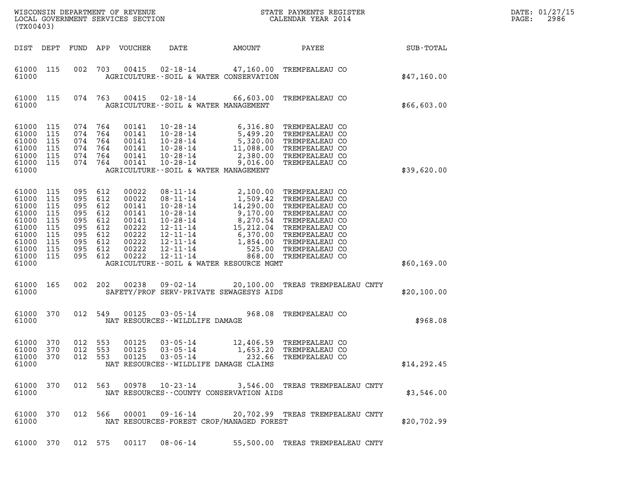| DATE: | 01/27/15 |
|-------|----------|
| PAGE: | 2986     |

| (TX00403)                                                                                           |                                                             |                                                             |                                                                        | WISCONSIN DEPARTMENT OF REVENUE<br>LOCAL GOVERNMENT SERVICES SECTION                   |                                                                                                                                                                      |                                                                                                                                                                     | STATE PAYMENTS REGISTER<br>CALENDAR YEAR 2014                                                                                                                                    |              | DATE: 01/27/15<br>2986<br>PAGE: |
|-----------------------------------------------------------------------------------------------------|-------------------------------------------------------------|-------------------------------------------------------------|------------------------------------------------------------------------|----------------------------------------------------------------------------------------|----------------------------------------------------------------------------------------------------------------------------------------------------------------------|---------------------------------------------------------------------------------------------------------------------------------------------------------------------|----------------------------------------------------------------------------------------------------------------------------------------------------------------------------------|--------------|---------------------------------|
|                                                                                                     | DIST DEPT                                                   |                                                             |                                                                        | FUND APP VOUCHER                                                                       | DATE                                                                                                                                                                 | AMOUNT                                                                                                                                                              | PAYEE                                                                                                                                                                            | SUB-TOTAL    |                                 |
| 61000 115<br>61000                                                                                  |                                                             | 002                                                         | 703                                                                    | 00415                                                                                  |                                                                                                                                                                      | 02-18-14 47,160.00 TREMPEALEAU CO<br>AGRICULTURE--SOIL & WATER CONSERVATION                                                                                         |                                                                                                                                                                                  | \$47,160.00  |                                 |
| 61000 115<br>61000                                                                                  |                                                             |                                                             | 074 763                                                                | 00415                                                                                  |                                                                                                                                                                      | 02-18-14 66,603.00 TREMPEALEAU CO<br>AGRICULTURE--SOIL & WATER MANAGEMENT                                                                                           |                                                                                                                                                                                  | \$66,603.00  |                                 |
| 61000<br>61000<br>61000<br>61000<br>61000<br>61000 115<br>61000                                     | 115<br>115<br>115<br>115<br>115                             | 074<br>074<br>074<br>074<br>074                             | 764<br>764<br>764<br>764<br>764<br>074 764                             | 00141<br>00141<br>00141<br>00141<br>00141<br>00141                                     | $10 - 28 - 14$<br>10-28-14<br>$10 - 28 - 14$<br>$10 - 28 - 14$<br>$10 - 28 - 14$                                                                                     | $10 - 28 - 14$ 6, 316.80<br>5,499.20<br>5,320.00<br>11,088.00<br>2,380.00<br>9,016.00<br>AGRICULTURE--SOIL & WATER MANAGEMENT                                       | TREMPEALEAU CO<br>TREMPEALEAU CO<br>TREMPEALEAU CO<br>TREMPEALEAU CO<br>TREMPEALEAU CO<br>TREMPEALEAU CO                                                                         | \$39,620.00  |                                 |
| 61000<br>61000<br>61000<br>61000<br>61000<br>61000<br>61000<br>61000<br>61000<br>61000 115<br>61000 | 115<br>115<br>115<br>115<br>115<br>115<br>115<br>115<br>115 | 095<br>095<br>095<br>095<br>095<br>095<br>095<br>095<br>095 | 612<br>612<br>612<br>612<br>612<br>612<br>612<br>612<br>612<br>095 612 | 00022<br>00022<br>00141<br>00141<br>00141<br>00222<br>00222<br>00222<br>00222<br>00222 | $08 - 11 - 14$<br>$08 - 11 - 14$<br>$10 - 28 - 14$<br>$10 - 28 - 14$<br>$10 - 28 - 14$<br>12-11-14<br>$12 - 11 - 14$<br>12-11-14<br>$12 - 11 - 14$<br>$12 - 11 - 14$ | 2,100.00<br>1,509.42<br>14,290.00<br>9,170.00<br>$8,270.54$<br>$15,212.04$<br>$6,370.00$<br>1,854.00<br>525.00<br>868.00<br>AGRICULTURE--SOIL & WATER RESOURCE MGMT | TREMPEALEAU CO<br>TREMPEALEAU CO<br>TREMPEALEAU CO<br>TREMPEALEAU CO<br>TREMPEALEAU CO<br>TREMPEALEAU CO<br>TREMPEALEAU CO<br>TREMPEALEAU CO<br>TREMPEALEAU CO<br>TREMPEALEAU CO | \$60,169.00  |                                 |
| 61000<br>61000                                                                                      | 165                                                         | 002                                                         | 202                                                                    | 00238                                                                                  | $09 - 02 - 14$                                                                                                                                                       | SAFETY/PROF SERV-PRIVATE SEWAGESYS AIDS                                                                                                                             | 20,100.00 TREAS TREMPEALEAU CNTY                                                                                                                                                 | \$20,100.00  |                                 |
| 61000<br>61000                                                                                      | 370                                                         |                                                             | 012 549                                                                | 00125                                                                                  | $03 - 05 - 14$<br>NAT RESOURCES - - WILDLIFE DAMAGE                                                                                                                  |                                                                                                                                                                     | 968.08 TREMPEALEAU CO                                                                                                                                                            | \$968.08     |                                 |
| 61000 370<br>61000 370<br>61000 370<br>61000                                                        |                                                             | 012                                                         | 012 553<br>553<br>012 553                                              | 00125<br>00125<br>00125                                                                | $03 - 05 - 14$<br>$03 - 05 - 14$<br>$03 - 05 - 14$                                                                                                                   | NAT RESOURCES - - WILDLIFE DAMAGE CLAIMS                                                                                                                            | 12,406.59 TREMPEALEAU CO<br>1,653.20 TREMPEALEAU CO<br>232.66 TREMPEALEAU CO                                                                                                     | \$14, 292.45 |                                 |
| 61000 370<br>61000                                                                                  |                                                             |                                                             | 012 563                                                                |                                                                                        | 00978 10-23-14                                                                                                                                                       | NAT RESOURCES - COUNTY CONSERVATION AIDS                                                                                                                            | 3,546.00 TREAS TREMPEALEAU CNTY                                                                                                                                                  | \$3,546.00   |                                 |
| 61000                                                                                               | 61000 370                                                   |                                                             | 012 566                                                                | 00001                                                                                  | 09-16-14                                                                                                                                                             | NAT RESOURCES-FOREST CROP/MANAGED FOREST                                                                                                                            | 20,702.99 TREAS TREMPEALEAU CNTY                                                                                                                                                 | \$20,702.99  |                                 |
|                                                                                                     | 61000 370                                                   |                                                             | 012 575                                                                | 00117                                                                                  | 08-06-14                                                                                                                                                             |                                                                                                                                                                     | 55,500.00 TREAS TREMPEALEAU CNTY                                                                                                                                                 |              |                                 |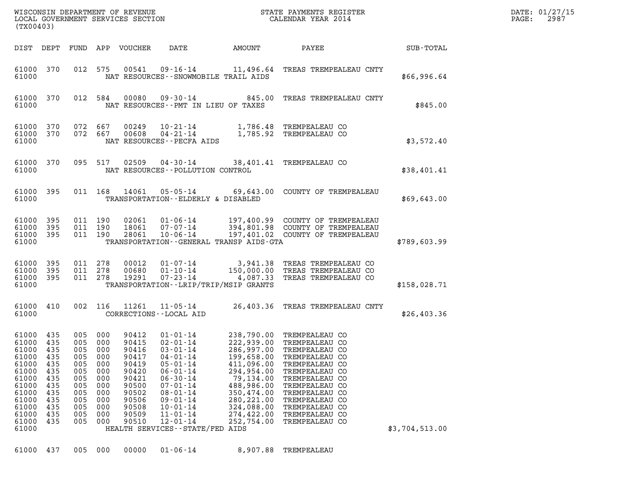|                                                                                                                                    |                                                                           |                                                                                         |                                                                                         | WISCONSIN DEPARTMENT OF REVENUE                                                                                   |                                                                                                                                                                                                                                                                              |                                                                                                                                                        | STATE PAYMENTS REGISTER                                                                                                                                                                                                                                      |                | DATE: 01/27/15            |
|------------------------------------------------------------------------------------------------------------------------------------|---------------------------------------------------------------------------|-----------------------------------------------------------------------------------------|-----------------------------------------------------------------------------------------|-------------------------------------------------------------------------------------------------------------------|------------------------------------------------------------------------------------------------------------------------------------------------------------------------------------------------------------------------------------------------------------------------------|--------------------------------------------------------------------------------------------------------------------------------------------------------|--------------------------------------------------------------------------------------------------------------------------------------------------------------------------------------------------------------------------------------------------------------|----------------|---------------------------|
| (TX00403)                                                                                                                          |                                                                           |                                                                                         |                                                                                         | LOCAL GOVERNMENT SERVICES SECTION                                                                                 |                                                                                                                                                                                                                                                                              |                                                                                                                                                        | CALENDAR YEAR 2014                                                                                                                                                                                                                                           |                | 2987<br>$\mathtt{PAGE}$ : |
| DIST DEPT                                                                                                                          |                                                                           |                                                                                         |                                                                                         | FUND APP VOUCHER                                                                                                  | DATE                                                                                                                                                                                                                                                                         | AMOUNT                                                                                                                                                 | PAYEE                                                                                                                                                                                                                                                        | SUB-TOTAL      |                           |
| 61000 370<br>61000                                                                                                                 |                                                                           |                                                                                         | 012 575                                                                                 | 00541                                                                                                             | 09-16-14<br>NAT RESOURCES - - SNOWMOBILE TRAIL AIDS                                                                                                                                                                                                                          |                                                                                                                                                        | 11,496.64 TREAS TREMPEALEAU CNTY                                                                                                                                                                                                                             | \$66,996.64    |                           |
| 61000<br>61000                                                                                                                     | 370                                                                       |                                                                                         | 012 584                                                                                 | 00080                                                                                                             | NAT RESOURCES -- PMT IN LIEU OF TAXES                                                                                                                                                                                                                                        |                                                                                                                                                        | 09-30-14 845.00 TREAS TREMPEALEAU CNTY                                                                                                                                                                                                                       | \$845.00       |                           |
| 61000<br>61000<br>61000                                                                                                            | 370<br>370                                                                |                                                                                         | 072 667<br>072 667                                                                      | 00249<br>00608                                                                                                    | $04 - 21 - 14$<br>NAT RESOURCES - - PECFA AIDS                                                                                                                                                                                                                               |                                                                                                                                                        | 10-21-14 1,786.48 TREMPEALEAU CO<br>1,785.92 TREMPEALEAU CO                                                                                                                                                                                                  | \$3,572.40     |                           |
| 61000<br>61000                                                                                                                     | 370                                                                       |                                                                                         | 095 517                                                                                 |                                                                                                                   | NAT RESOURCES - - POLLUTION CONTROL                                                                                                                                                                                                                                          |                                                                                                                                                        | 02509  04-30-14  38,401.41  TREMPEALEAU CO                                                                                                                                                                                                                   | \$38,401.41    |                           |
| 61000<br>61000                                                                                                                     | 395                                                                       |                                                                                         | 011 168                                                                                 | 14061                                                                                                             | TRANSPORTATION--ELDERLY & DISABLED                                                                                                                                                                                                                                           |                                                                                                                                                        | 05-05-14 69,643.00 COUNTY OF TREMPEALEAU                                                                                                                                                                                                                     | \$69,643.00    |                           |
| 61000<br>61000<br>61000<br>61000                                                                                                   | 395<br>395<br>- 395                                                       |                                                                                         | 011 190<br>011 190<br>011 190                                                           | 02061<br>18061<br>28061                                                                                           | $01 - 06 - 14$<br>$07 - 07 - 14$<br>$10 - 06 - 14$<br>TRANSPORTATION--GENERAL TRANSP AIDS-GTA                                                                                                                                                                                |                                                                                                                                                        | 197,400.99 COUNTY OF TREMPEALEAU<br>394 801 98 COUNTY 2000<br>394,801.98 COUNTY OF TREMPEALEAU<br>197,401.02 COUNTY OF TREMPEALEAU                                                                                                                           | \$789,603.99   |                           |
| 61000<br>61000<br>61000<br>61000                                                                                                   | 395<br>395<br>395                                                         |                                                                                         | 011 278<br>011 278<br>011 278                                                           | 00012<br>00680<br>19291                                                                                           | 01-07-14<br>$01 - 10 - 14$<br>$07 - 23 - 14$<br>TRANSPORTATION - - LRIP/TRIP/MSIP GRANTS                                                                                                                                                                                     | 4,087.33                                                                                                                                               | 3,941.38 TREAS TREMPEALEAU CO<br>150.000.00. TREAS TREMPEALEAU CO<br>150,000.00 TREAS TREMPEALEAU CO<br>TREAS TREMPEALEAU CO                                                                                                                                 | \$158,028.71   |                           |
| 61000<br>61000                                                                                                                     | 410                                                                       |                                                                                         | 002 116                                                                                 | 11261                                                                                                             | 11-05-14<br>CORRECTIONS - - LOCAL AID                                                                                                                                                                                                                                        |                                                                                                                                                        | 26,403.36 TREAS TREMPEALEAU CNTY                                                                                                                                                                                                                             | \$26,403.36    |                           |
| 61000 435<br>61000 435<br>61000<br>61000<br>61000<br>61000<br>61000<br>61000<br>61000<br>61000<br>61000<br>61000<br>61000<br>61000 | 435<br>435<br>435<br>435<br>435<br>435<br>435<br>435<br>435<br>435<br>435 | 005<br>005<br>005<br>005<br>005<br>005<br>005<br>005<br>005<br>005<br>005<br>005<br>005 | 000<br>000<br>000<br>000<br>000<br>000<br>000<br>000<br>000<br>000<br>000<br>000<br>000 | 90412<br>90415<br>90416<br>90417<br>90419<br>90420<br>90421<br>90500<br>90502<br>90506<br>90508<br>90509<br>90510 | $01 - 01 - 14$<br>$02 - 01 - 14$<br>$03 - 01 - 14$<br>$04 - 01 - 14$<br>$05 - 01 - 14$<br>$06 - 01 - 14$<br>$06 - 30 - 14$<br>$07 - 01 - 14$<br>$08 - 01 - 14$<br>$09 - 01 - 14$<br>$10 - 01 - 14$<br>$11 - 01 - 14$<br>$12 - 01 - 14$<br>HEALTH SERVICES - - STATE/FED AIDS | 286,997.00<br>199,658.00<br>411,096.00<br>294,954.00<br>79,134.00<br>488,986.00<br>350,474.00<br>280, 221.00<br>324,088.00<br>274,422.00<br>252,754.00 | 238,790.00 TREMPEALEAU CO<br>222,939.00 TREMPEALEAU CO<br>TREMPEALEAU CO<br>TREMPEALEAU CO<br>TREMPEALEAU CO<br>TREMPEALEAU CO<br>TREMPEALEAU CO<br>TREMPEALEAU CO<br>TREMPEALEAU CO<br>TREMPEALEAU CO<br>TREMPEALEAU CO<br>TREMPEALEAU CO<br>TREMPEALEAU CO | \$3,704,513.00 |                           |
| 61000                                                                                                                              | 437                                                                       | 005                                                                                     | 000                                                                                     | 00000                                                                                                             | $01 - 06 - 14$                                                                                                                                                                                                                                                               | 8,907.88                                                                                                                                               | TREMPEALEAU                                                                                                                                                                                                                                                  |                |                           |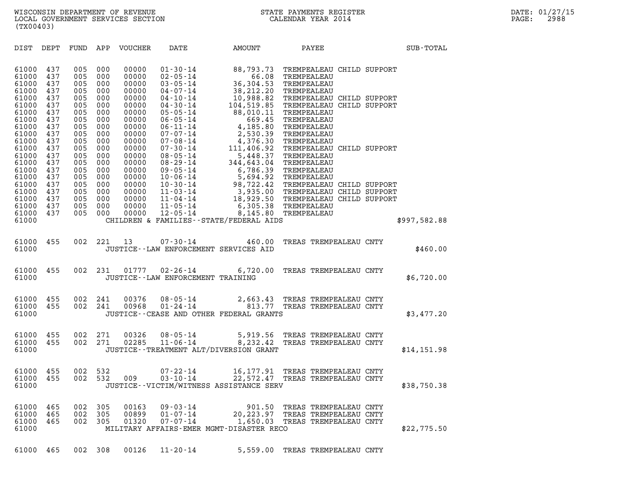| (TX00403)                                          |                                        |                                        |                                        |                                                    |                                                                                                                                              |                                                                               |                                                                                                                                                                                          |  |                  |
|----------------------------------------------------|----------------------------------------|----------------------------------------|----------------------------------------|----------------------------------------------------|----------------------------------------------------------------------------------------------------------------------------------------------|-------------------------------------------------------------------------------|------------------------------------------------------------------------------------------------------------------------------------------------------------------------------------------|--|------------------|
| DIST                                               | DEPT                                   | FUND APP                               |                                        | VOUCHER                                            | DATE                                                                                                                                         | AMOUNT                                                                        | PAYEE                                                                                                                                                                                    |  | <b>SUB-TOTAL</b> |
| 61000<br>61000<br>61000<br>61000                   | 437<br>437<br>437<br>437               | 005<br>005<br>005<br>005               | 000<br>000<br>000<br>000               | 00000<br>00000<br>00000<br>00000                   | $01 - 30 - 14$<br>$02 - 05 - 14$<br>$03 - 05 - 14$<br>04-07-14                                                                               | 88,793.73<br>66.08<br>36,304.53<br>38,212.20                                  | TREMPEALEAU CHILD SUPPORT<br>TREMPEALEAU<br>TREMPEALEAU<br>TREMPEALEAU                                                                                                                   |  |                  |
| 61000<br>61000<br>61000<br>61000<br>61000          | 437<br>437<br>437<br>437<br>437        | 005<br>005<br>005<br>005<br>005        | 000<br>000<br>000<br>000<br>000        | 00000<br>00000<br>00000<br>00000<br>00000          | 04-10-14<br>04-30-14<br>$05 - 05 - 14$<br>06-05-14<br>$06 - 11 - 14$                                                                         | 88,010.11<br>669.45<br>4,185.80                                               | 10,988.82 TREMPEALEAU CHILD SUPPORT<br>104,519.85 TREMPEALEAU CHILD SUPPORT<br>TREMPEALEAU<br>TREMPEALEAU<br>TREMPEALEAU                                                                 |  |                  |
| 61000<br>61000<br>61000<br>61000<br>61000<br>61000 | 437<br>437<br>437<br>437<br>437<br>437 | 005<br>005<br>005<br>005<br>005<br>005 | 000<br>000<br>000<br>000<br>000<br>000 | 00000<br>00000<br>00000<br>00000<br>00000<br>00000 | 07-07-14<br>$07 - 08 - 14$<br>07-30-14<br>08-05-14                                                                                           | 2,530.39<br>4,376.30 TREMPEALEAU<br>5,448.37 TREMPEALEAU<br>6,786.39          | TREMPEALEAU<br>111,406.92 TREMPEALEAU CHILD SUPPORT<br>344,643.04 TREMPEALEAU<br>TREMPEALEAU                                                                                             |  |                  |
| 61000<br>61000<br>61000<br>61000<br>61000<br>61000 | 437<br>437<br>437<br>437<br>437<br>437 | 005<br>005<br>005<br>005<br>005<br>005 | 000<br>000<br>000<br>000<br>000<br>000 | 00000<br>00000<br>00000<br>00000<br>00000<br>00000 | $08 - 29 - 14$<br>$09 - 05 - 14$<br>$10 - 06 - 14$<br>$10 - 30 - 14$<br>$11 - 03 - 14$<br>$11 - 04 - 14$<br>$11 - 05 - 14$<br>$12 - 05 - 14$ |                                                                               | 5,694.92 TREMPEALEAU<br>98,722.42 TREMPEALEAU CHILD SUPPORT<br>3,935.00 TREMPEALEAU CHILD SUPPORT<br>18,929.50 TREMPEALEAU CHILD SUPPORT<br>6,305.38 TREMPEALEAU<br>8,145.80 TREMPEALEAU |  |                  |
| 61000                                              |                                        |                                        |                                        |                                                    |                                                                                                                                              | CHILDREN & FAMILIES - - STATE/FEDERAL AIDS                                    |                                                                                                                                                                                          |  | \$997,582.88     |
| 61000<br>61000                                     | 455                                    | 002                                    | 221                                    | 13                                                 | $07 - 30 - 14$                                                                                                                               | 460.00<br>JUSTICE--LAW ENFORCEMENT SERVICES AID                               | TREAS TREMPEALEAU CNTY                                                                                                                                                                   |  | \$460.00         |
| 61000<br>61000                                     | 455                                    | 002                                    | 231                                    | 01777                                              | $02 - 26 - 14$<br>JUSTICE - - LAW ENFORCEMENT TRAINING                                                                                       | 6,720.00                                                                      | TREAS TREMPEALEAU CNTY                                                                                                                                                                   |  | \$6,720.00       |
| 61000<br>61000<br>61000                            | 455<br>455                             | 002<br>002                             | 241<br>241                             | 00376<br>00968                                     | $08 - 05 - 14$<br>$01 - 24 - 14$                                                                                                             | JUSTICE -- CEASE AND OTHER FEDERAL GRANTS                                     | 2,663.43 TREAS TREMPEALEAU CNTY<br>813.77 TREAS TREMPEALEAU CNTY                                                                                                                         |  | \$3,477.20       |
| 61000<br>61000<br>61000                            | 455<br>455                             | 002<br>002                             | 271<br>271                             | 00326<br>02285                                     | 08-05-14<br>$11 - 06 - 14$                                                                                                                   | 8, 232.42 TREAS TREMPEALEAU CNTY<br>JUSTICE - - TREATMENT ALT/DIVERSION GRANT | 5,919.56 TREAS TREMPEALEAU CNTY                                                                                                                                                          |  | \$14,151.98      |
| 61000<br>61000<br>61000                            | 455<br>455                             | 002<br>002                             | 532<br>532                             | 009                                                | $07 - 22 - 14$<br>$03 - 10 - 14$                                                                                                             | JUSTICE--VICTIM/WITNESS ASSISTANCE SERV                                       | 16,177.91 TREAS TREMPEALEAU CNTY<br>22,572.47 TREAS TREMPEALEAU CNTY                                                                                                                     |  | \$38,750.38      |
| 61000<br>61000<br>61000<br>61000                   | 465<br>465<br>465                      | 002 305<br>002 305<br>002              | 305                                    | 00163<br>00899<br>01320                            | 09-03-14<br>01-07-14<br>07-07-14                                                                                                             | MILITARY AFFAIRS-EMER MGMT-DISASTER RECO                                      | 901.50 TREAS TREMPEALEAU CNTY<br>20, 223.97 TREAS TREMPEALEAU CNTY<br>1,650.03 TREAS TREMPEALEAU CNTY                                                                                    |  | \$22,775.50      |
|                                                    |                                        |                                        |                                        |                                                    |                                                                                                                                              |                                                                               |                                                                                                                                                                                          |  |                  |

61000 465 002 308 00126 11-20-14 5,559.00 TREAS TREMPEALEAU CNTY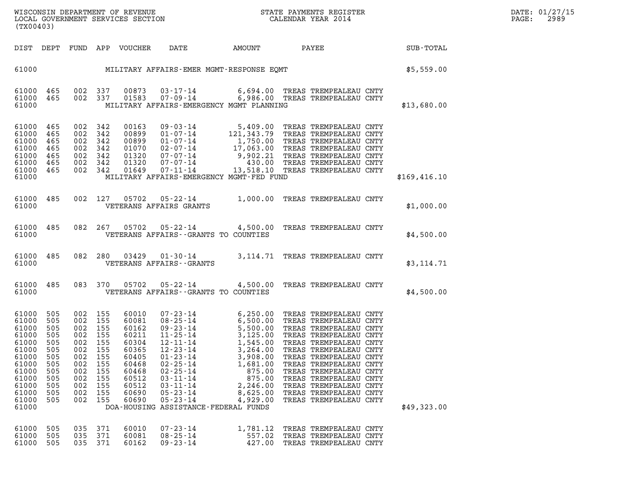| WISCONSIN DEPARTMENT OF REVENUE   | STATE PAYMENTS REGISTER | DATE: 01/27/15 |
|-----------------------------------|-------------------------|----------------|
| LOCAL GOVERNMENT SERVICES SECTION | CALENDAR YEAR 2014      | 2989<br>PAGE:  |

| (TX00403)                                                                                                                  |                                                                                         |                                                                                                                 |                                                 |                                                                                                                   | WISCONSIN DEPARTMENT OF REVENUE<br>LOCAL GOVERNMENT SERVICES SECTION THE STATE PAYMENTS REGISTER<br>(TYO0402)                                                                                                                                                                                                                                                                                              |                                                                              |                                                                                                                                                                                                                       |               | DATE: 01/27/15<br>2989<br>$\mathtt{PAGE:}$ |
|----------------------------------------------------------------------------------------------------------------------------|-----------------------------------------------------------------------------------------|-----------------------------------------------------------------------------------------------------------------|-------------------------------------------------|-------------------------------------------------------------------------------------------------------------------|------------------------------------------------------------------------------------------------------------------------------------------------------------------------------------------------------------------------------------------------------------------------------------------------------------------------------------------------------------------------------------------------------------|------------------------------------------------------------------------------|-----------------------------------------------------------------------------------------------------------------------------------------------------------------------------------------------------------------------|---------------|--------------------------------------------|
|                                                                                                                            |                                                                                         |                                                                                                                 |                                                 |                                                                                                                   | DIST DEPT FUND APP VOUCHER DATE AMOUNT PAYEE PATE SUB-TOTAL                                                                                                                                                                                                                                                                                                                                                |                                                                              |                                                                                                                                                                                                                       |               |                                            |
|                                                                                                                            |                                                                                         |                                                                                                                 |                                                 |                                                                                                                   | 61000 MILITARY AFFAIRS-EMER MGMT-RESPONSE EQMT                                                                                                                                                                                                                                                                                                                                                             |                                                                              |                                                                                                                                                                                                                       | \$5,559.00    |                                            |
| 61000                                                                                                                      |                                                                                         |                                                                                                                 |                                                 |                                                                                                                   | $\begin{array}{cccccc} 61000& 465& 002& 337& 00873& 03\texttt{-}17\texttt{-}14& & & & & 6,694.00 & \texttt{TREAS TREMPEALEAU CNTY}\\ 61000& 465& 002& 337& 01583& 07\texttt{-}09\texttt{-}14& & & & & 6,986.00 & \texttt{TREAS TREMPEALEAU CNTY} \end{array}$<br>MILITARY AFFAIRS-EMERGENCY MGMT PLANNING                                                                                                  |                                                                              |                                                                                                                                                                                                                       | \$13,680.00   |                                            |
| 61000 465<br>61000<br>61000<br>61000<br>61000<br>61000<br>61000                                                            | 465<br>465<br>465<br>465<br>465<br>61000 465                                            | 002 342<br>002 342<br>002 342<br>002 342<br>002 342<br>002 342<br>002 342                                       |                                                 |                                                                                                                   | 00163 09-03-14 5,409.00 TREAS TREMPEALEAU CNTY<br>00899 01-07-14 121,343.79 TREAS TREMPEALEAU CNTY<br>00899 01-07-14 1,750.00 TREAS TREMPEALEAU CNTY<br>01070 02-07-14 17,063.00 TREAS TREMPEALEAU CNTY<br>01320 07-07-14 9,902.21 TRE<br>MILITARY AFFAIRS-EMERGENCY MGMT-FED FUND                                                                                                                         |                                                                              |                                                                                                                                                                                                                       | \$169, 416.10 |                                            |
| 61000                                                                                                                      |                                                                                         |                                                                                                                 |                                                 |                                                                                                                   | 61000 485 002 127 05702 05-22-14 1,000.00 TREAS TREMPEALEAU CNTY<br>VETERANS AFFAIRS GRANTS                                                                                                                                                                                                                                                                                                                |                                                                              |                                                                                                                                                                                                                       | \$1,000.00    |                                            |
| 61000                                                                                                                      |                                                                                         |                                                                                                                 |                                                 |                                                                                                                   | 61000 485 082 267 05702 05-22-14 4,500.00 TREAS TREMPEALEAU CNTY<br>VETERANS AFFAIRS--GRANTS TO COUNTIES                                                                                                                                                                                                                                                                                                   |                                                                              |                                                                                                                                                                                                                       | \$4,500.00    |                                            |
| 61000                                                                                                                      |                                                                                         |                                                                                                                 |                                                 |                                                                                                                   | 61000 485 082 280 03429 01-30-14 3,114.71 TREAS TREMPEALEAU CNTY<br>VETERANS AFFAIRS - - GRANTS                                                                                                                                                                                                                                                                                                            |                                                                              |                                                                                                                                                                                                                       | \$3,114.71    |                                            |
| 61000                                                                                                                      |                                                                                         |                                                                                                                 |                                                 |                                                                                                                   | 61000 485 083 370 05702 05-22-14 4,500.00 TREAS TREMPEALEAU CNTY<br>VETERANS AFFAIRS--GRANTS TO COUNTIES                                                                                                                                                                                                                                                                                                   |                                                                              |                                                                                                                                                                                                                       | \$4,500.00    |                                            |
| 61000<br>61000<br>61000<br>61000<br>61000<br>61000<br>61000<br>61000<br>61000<br>61000<br>61000<br>61000<br>61000<br>61000 | 505<br>505<br>505<br>505<br>505<br>505<br>505<br>505<br>505<br>505<br>505<br>505<br>505 | 002 155<br>002 155<br>002 155<br>002 155<br>002 155<br>002 155<br>002<br>002<br>002<br>002<br>002<br>002<br>002 | 155<br>155<br>155<br>155<br>155<br>155<br>- 155 | 60010<br>60081<br>60162<br>60211<br>60304<br>60365<br>60405<br>60468<br>60468<br>60512<br>60512<br>60690<br>60690 | 07-23-14 6,250.00 TREAS TREMPEALEAU CNTY<br>08-25-14 6,500.00 TREAS TREMPEALEAU CNTY<br>09-23-14 5,500.00 TREAS TREMPEALEAU CNTY<br>11-25-14 3,125.00 TREAS TREMPEALEAU CNTY<br>12-21-14 1,545.00 TREAS TREMPEALEAU CNTY<br>12-23-14<br>$01 - 23 - 14$<br>$02 - 25 - 14$<br>$02 - 25 - 14$<br>$03 - 11 - 14$<br>$03 - 11 - 14$<br>$05 - 23 - 14$<br>$05 - 23 - 14$<br>DOA-HOUSING ASSISTANCE-FEDERAL FUNDS | 3,908.00<br>1,681.00<br>875.00<br>875.00<br>2,246.00<br>8,625.00<br>4,929.00 | 3,264.00 TREAS TREMPEALEAU CNTY<br>TREAS TREMPEALEAU CNTY<br>TREAS TREMPEALEAU CNTY<br>TREAS TREMPEALEAU CNTY<br>TREAS TREMPEALEAU CNTY<br>TREAS TREMPEALEAU CNTY<br>TREAS TREMPEALEAU CNTY<br>TREAS TREMPEALEAU CNTY | \$49,323.00   |                                            |
| 61000<br>61000<br>61000                                                                                                    | 505<br>505<br>505                                                                       | 035<br>035<br>035 371                                                                                           | 371<br>371                                      | 60010<br>60081<br>60162                                                                                           | $07 - 23 - 14$<br>$08 - 25 - 14$<br>$09 - 23 - 14$                                                                                                                                                                                                                                                                                                                                                         | 1,781.12<br>557.02<br>427.00                                                 | TREAS TREMPEALEAU CNTY<br>TREAS TREMPEALEAU CNTY<br>TREAS TREMPEALEAU CNTY                                                                                                                                            |               |                                            |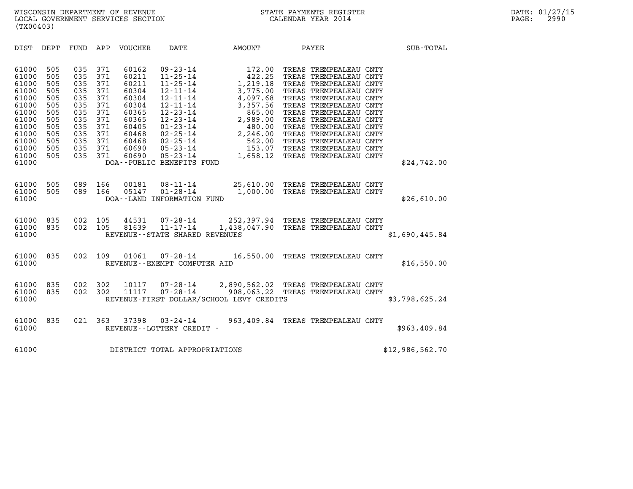| (TX00403)                                                                                                                  |                                                                                         |                                                                                         |                                                                                         |                                                                                                                   |                                                                                                                                                                                                                                                         |                                                                                                                                              |                                                                                                                                                                                                                                                                                                                                                |                 |  |
|----------------------------------------------------------------------------------------------------------------------------|-----------------------------------------------------------------------------------------|-----------------------------------------------------------------------------------------|-----------------------------------------------------------------------------------------|-------------------------------------------------------------------------------------------------------------------|---------------------------------------------------------------------------------------------------------------------------------------------------------------------------------------------------------------------------------------------------------|----------------------------------------------------------------------------------------------------------------------------------------------|------------------------------------------------------------------------------------------------------------------------------------------------------------------------------------------------------------------------------------------------------------------------------------------------------------------------------------------------|-----------------|--|
| <b>DIST</b>                                                                                                                | DEPT                                                                                    | <b>FUND</b>                                                                             | APP                                                                                     | VOUCHER                                                                                                           | DATE                                                                                                                                                                                                                                                    | AMOUNT                                                                                                                                       | PAYEE                                                                                                                                                                                                                                                                                                                                          | SUB-TOTAL       |  |
| 61000<br>61000<br>61000<br>61000<br>61000<br>61000<br>61000<br>61000<br>61000<br>61000<br>61000<br>61000<br>61000<br>61000 | 505<br>505<br>505<br>505<br>505<br>505<br>505<br>505<br>505<br>505<br>505<br>505<br>505 | 035<br>035<br>035<br>035<br>035<br>035<br>035<br>035<br>035<br>035<br>035<br>035<br>035 | 371<br>371<br>371<br>371<br>371<br>371<br>371<br>371<br>371<br>371<br>371<br>371<br>371 | 60162<br>60211<br>60211<br>60304<br>60304<br>60304<br>60365<br>60365<br>60405<br>60468<br>60468<br>60690<br>60690 | $09 - 23 - 14$<br>$11 - 25 - 14$<br>$11 - 25 - 14$<br>$12 - 11 - 14$<br>$12 - 11 - 14$<br>$12 - 11 - 14$<br>$12 - 23 - 14$<br>$12 - 23 - 14$<br>$01 - 23 - 14$<br>$02 - 25 - 14$<br>02-25-14<br>05-23-14<br>$05 - 23 - 14$<br>DOA--PUBLIC BENEFITS FUND | 172.00<br>422.25<br>1,219.18<br>3,775.00<br>4,097.68<br>3,357.56<br>865.00<br>2,989.00<br>480.00<br>2,246.00<br>542.00<br>153.07<br>1,658.12 | TREAS TREMPEALEAU CNTY<br>TREAS TREMPEALEAU CNTY<br>TREAS TREMPEALEAU CNTY<br>TREAS TREMPEALEAU CNTY<br>TREAS TREMPEALEAU CNTY<br>TREAS TREMPEALEAU CNTY<br>TREAS TREMPEALEAU CNTY<br>TREAS TREMPEALEAU CNTY<br>TREAS TREMPEALEAU CNTY<br>TREAS TREMPEALEAU CNTY<br>TREAS TREMPEALEAU CNTY<br>TREAS TREMPEALEAU CNTY<br>TREAS TREMPEALEAU CNTY | \$24,742.00     |  |
| 61000<br>61000<br>61000                                                                                                    | 505<br>505                                                                              | 089<br>089                                                                              | 166<br>166                                                                              | 00181<br>05147                                                                                                    | $08 - 11 - 14$<br>$01 - 28 - 14$<br>DOA--LAND INFORMATION FUND                                                                                                                                                                                          | 1,000.00                                                                                                                                     | 25,610.00 TREAS TREMPEALEAU CNTY<br>TREAS TREMPEALEAU CNTY                                                                                                                                                                                                                                                                                     | \$26,610.00     |  |
| 61000<br>61000<br>61000                                                                                                    | 835<br>835                                                                              | 002<br>002                                                                              | 105<br>105                                                                              | 44531<br>81639                                                                                                    | $07 - 28 - 14$<br>$11 - 17 - 14$<br>REVENUE - - STATE SHARED REVENUES                                                                                                                                                                                   |                                                                                                                                              | 252,397.94 TREAS TREMPEALEAU CNTY<br>1,438,047.90 TREAS TREMPEALEAU CNTY                                                                                                                                                                                                                                                                       | \$1,690,445.84  |  |
| 61000<br>61000                                                                                                             | 835                                                                                     | 002                                                                                     | 109                                                                                     | 01061                                                                                                             | $07 - 28 - 14$<br>REVENUE - - EXEMPT COMPUTER AID                                                                                                                                                                                                       | 16,550.00                                                                                                                                    | TREAS TREMPEALEAU CNTY                                                                                                                                                                                                                                                                                                                         | \$16,550.00     |  |
| 61000<br>61000<br>61000                                                                                                    | 835<br>835                                                                              | 002<br>002                                                                              | 302<br>302                                                                              | 10117<br>11117                                                                                                    | $07 - 28 - 14$<br>$07 - 28 - 14$                                                                                                                                                                                                                        | REVENUE-FIRST DOLLAR/SCHOOL LEVY CREDITS                                                                                                     | 2,890,562.02 TREAS TREMPEALEAU CNTY<br>908,063.22 TREAS TREMPEALEAU CNTY                                                                                                                                                                                                                                                                       | \$3,798,625.24  |  |
| 61000<br>61000                                                                                                             | 835                                                                                     | 021                                                                                     | 363                                                                                     | 37398                                                                                                             | $03 - 24 - 14$<br>REVENUE--LOTTERY CREDIT -                                                                                                                                                                                                             | 963,409.84                                                                                                                                   | TREAS TREMPEALEAU CNTY                                                                                                                                                                                                                                                                                                                         | \$963,409.84    |  |
| 61000                                                                                                                      |                                                                                         |                                                                                         |                                                                                         |                                                                                                                   | DISTRICT TOTAL APPROPRIATIONS                                                                                                                                                                                                                           |                                                                                                                                              |                                                                                                                                                                                                                                                                                                                                                | \$12,986,562.70 |  |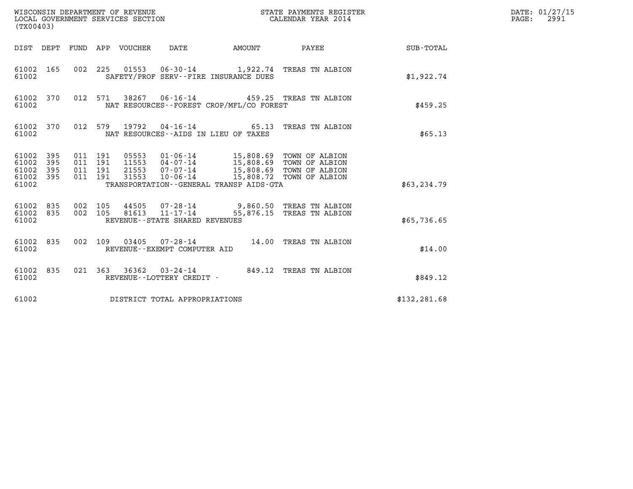| (TX00403)                                     |                   |                                          |         |                            | WISCONSIN DEPARTMENT OF REVENUE<br>LOCAL GOVERNMENT SERVICES SECTION |                                             | STATE PAYMENTS REGISTER<br>CALENDAR YEAR 2014                                                                                                             |               | DATE: 01/27/15<br>$\mathtt{PAGE}$ :<br>2991 |
|-----------------------------------------------|-------------------|------------------------------------------|---------|----------------------------|----------------------------------------------------------------------|---------------------------------------------|-----------------------------------------------------------------------------------------------------------------------------------------------------------|---------------|---------------------------------------------|
|                                               |                   |                                          |         | DIST DEPT FUND APP VOUCHER | DATE                                                                 | <b>EXAMPLE THE AMOUNT</b>                   | PAYEE                                                                                                                                                     | SUB-TOTAL     |                                             |
| 61002 165<br>61002                            |                   |                                          |         |                            | SAFETY/PROF SERV--FIRE INSURANCE DUES                                |                                             | 002 225 01553 06-30-14 1,922.74 TREAS TN ALBION                                                                                                           | \$1,922.74    |                                             |
| 61002 370<br>61002                            |                   |                                          | 012 571 |                            |                                                                      | NAT RESOURCES - - FOREST CROP/MFL/CO FOREST | 38267 06-16-14 459.25 TREAS TN ALBION                                                                                                                     | \$459.25      |                                             |
| 61002 370<br>61002                            |                   | 012 579                                  |         |                            | NAT RESOURCES--AIDS IN LIEU OF TAXES                                 |                                             | 19792  04-16-14  65.13  TREAS TN ALBION                                                                                                                   | \$65.13       |                                             |
| 61002<br>61002<br>61002<br>61002 395<br>61002 | 395<br>395<br>395 | 011 191<br>011 191<br>011 191<br>011 191 |         | 21553<br>31553             | 07-07-14                                                             | TRANSPORTATION--GENERAL TRANSP AIDS-GTA     | 05553  01-06-14  15,808.69  TOWN OF ALBION<br>11553  04-07-14  15,808.69  TOWN OF ALBION<br>15,808.69 TOWN OF ALBION<br>10-06-14 15,808.72 TOWN OF ALBION | \$63, 234.79  |                                             |
| 61002 835<br>61002 835<br>61002               |                   | 002 105<br>002 105                       |         |                            | REVENUE - - STATE SHARED REVENUES                                    |                                             | 44505  07-28-14  9,860.50  TREAS TN ALBION<br>81613  11-17-14  55,876.15  TREAS TN ALBION                                                                 | \$65,736.65   |                                             |
| 61002 835<br>61002                            |                   | 002 109                                  |         | 03405                      | REVENUE--EXEMPT COMPUTER AID                                         |                                             | 07-28-14 14.00 TREAS TN ALBION                                                                                                                            | \$14.00       |                                             |
| 61002 835<br>61002                            |                   |                                          |         |                            | REVENUE--LOTTERY CREDIT -                                            |                                             | 021 363 36362 03-24-14 849.12 TREAS TN ALBION                                                                                                             | \$849.12      |                                             |
| 61002                                         |                   |                                          |         |                            | DISTRICT TOTAL APPROPRIATIONS                                        |                                             |                                                                                                                                                           | \$132, 281.68 |                                             |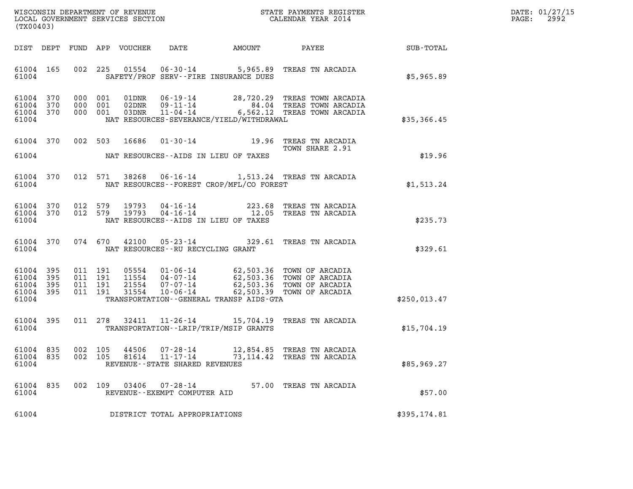| WISCONSIN DEPARTMENT OF REVENUE   | STATE PAYMENTS REGISTER | DATE: 01/27/15 |
|-----------------------------------|-------------------------|----------------|
| LOCAL GOVERNMENT SERVICES SECTION | CALENDAR YEAR 2014      | 2992<br>PAGE:  |

| WISCONSIN DEPARTMENT OF REVENUE<br>LOCAL GOVERNMENT SERVICES SECTION<br>LOCAL GOVERNMENT SERVICES SECTION<br>CALENDAR YEAR 2014<br>(TX00403) |     |  |         |                         |                                                        |                                                |                                                                                                                                                                                                                                                                                                                                                        |              | DATE: 01/27/15<br>$\mathtt{PAGE}$ :<br>2992 |
|----------------------------------------------------------------------------------------------------------------------------------------------|-----|--|---------|-------------------------|--------------------------------------------------------|------------------------------------------------|--------------------------------------------------------------------------------------------------------------------------------------------------------------------------------------------------------------------------------------------------------------------------------------------------------------------------------------------------------|--------------|---------------------------------------------|
|                                                                                                                                              |     |  |         |                         |                                                        |                                                | DIST DEPT FUND APP VOUCHER DATE AMOUNT PAYEE SUB-TOTAL                                                                                                                                                                                                                                                                                                 |              |                                             |
| 61004 165<br>61004                                                                                                                           |     |  |         |                         |                                                        | SAFETY/PROF SERV--FIRE INSURANCE DUES          | 002 225 01554 06-30-14 5,965.89 TREAS TN ARCADIA                                                                                                                                                                                                                                                                                                       | \$5,965.89   |                                             |
| 61004 370<br>61004 370<br>61004 370<br>61004                                                                                                 |     |  |         |                         |                                                        | NAT RESOURCES - SEVERANCE/YIELD/WITHDRAWAL     | 000 001 01DNR 06-19-14 28,720.29 TREAS TOWN ARCADIA<br>000 001 02DNR 09-11-14 84.04 TREAS TOWN ARCADIA<br>000 001 03DNR 11-04-14 6,562.12 TREAS TOWN ARCADIA                                                                                                                                                                                           | \$35,366.45  |                                             |
|                                                                                                                                              |     |  |         | 61004 370 002 503 16686 |                                                        |                                                | 01-30-14 19.96 TREAS TN ARCADIA<br>TREAD IN ALL-<br>TOWN SHARE 2.91                                                                                                                                                                                                                                                                                    |              |                                             |
|                                                                                                                                              |     |  |         |                         |                                                        | 61004 NAT RESOURCES--AIDS IN LIEU OF TAXES     |                                                                                                                                                                                                                                                                                                                                                        | \$19.96      |                                             |
|                                                                                                                                              |     |  |         |                         |                                                        | 61004 NAT RESOURCES--FOREST CROP/MFL/CO FOREST | 61004 370 012 571 38268 06-16-14 1,513.24 TREAS TN ARCADIA                                                                                                                                                                                                                                                                                             | \$1,513.24   |                                             |
| 61004                                                                                                                                        |     |  |         |                         |                                                        | NAT RESOURCES--AIDS IN LIEU OF TAXES           | $\begin{array}{cccccc} 61004 & 370 & 012 & 579 & 19793 & 04\cdot 16\cdot 14 & & & & 223.68 & \text{TREAS TN ARCHA} \\ 61004 & 370 & 012 & 579 & 19793 & 04\cdot 16\cdot 14 & & & 12.05 & \text{TREAS TN ARCHA} \end{array}$                                                                                                                            | \$235.73     |                                             |
| 61004 370<br>61004                                                                                                                           |     |  |         |                         | NAT RESOURCES--RU RECYCLING GRANT                      |                                                | 074 670 42100 05-23-14 329.61 TREAS TN ARCADIA                                                                                                                                                                                                                                                                                                         | \$329.61     |                                             |
| 61004 395<br>61004 395<br>61004 395<br>61004 395<br>61004                                                                                    |     |  |         |                         |                                                        | TRANSPORTATION - - GENERAL TRANSP AIDS-GTA     | $\begin{array}{cccc} 011 & 191 & 05554 & 01\cdot 06\cdot 14 & 62,503.36 & \text{TOWN OF ARCHIA} \\ 011 & 191 & 11554 & 04\cdot 07\cdot 14 & 62,503.36 & \text{TOWN OF ARCHIA} \\ 011 & 191 & 21554 & 07\cdot 07\cdot 14 & 62,503.36 & \text{TOWN OF ARCHIA} \\ 011 & 191 & 31554 & 10\cdot 06\cdot 14 & 62,503.39 & \text{TOWN OF ARCHIA} \end{array}$ | \$250,013.47 |                                             |
|                                                                                                                                              |     |  |         |                         |                                                        | 61004 TRANSPORTATION - LRIP/TRIP/MSIP GRANTS   | 61004 395 011 278 32411 11-26-14 15,704.19 TREAS TN ARCADIA                                                                                                                                                                                                                                                                                            | \$15,704.19  |                                             |
| 61004 835<br>61004                                                                                                                           |     |  | 002 105 |                         | REVENUE--STATE SHARED REVENUES                         |                                                | 61004 835 002 105 44506 07-28-14 12,854.85 TREAS TN ARCADIA<br>81614  11-17-14  73, 114.42  TREAS TN ARCADIA                                                                                                                                                                                                                                           | \$85,969.27  |                                             |
| 61004<br>61004                                                                                                                               | 835 |  |         |                         | 002 109 03406 07-28-14<br>REVENUE--EXEMPT COMPUTER AID |                                                | 57.00 TREAS TN ARCADIA                                                                                                                                                                                                                                                                                                                                 | \$57.00      |                                             |
| 61004                                                                                                                                        |     |  |         |                         | DISTRICT TOTAL APPROPRIATIONS                          |                                                |                                                                                                                                                                                                                                                                                                                                                        | \$395,174.81 |                                             |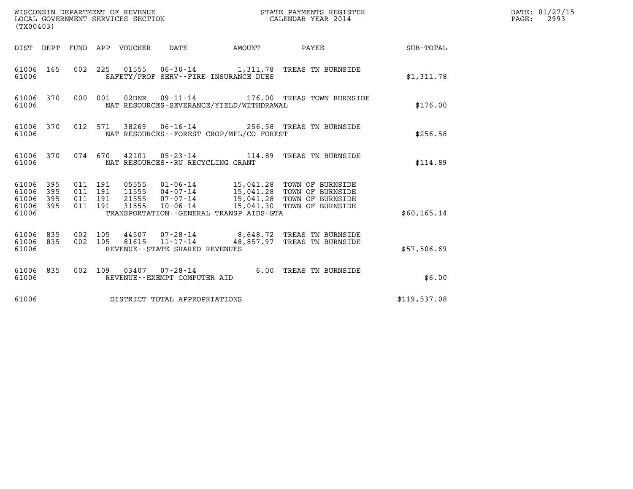| (TX00403)                                                       |                    |                                                        | WISCONSIN DEPARTMENT OF REVENUE<br>LOCAL GOVERNMENT SERVICES SECTION                    |        | STATE PAYMENTS REGISTER<br>CALENDAR YEAR 2014                                          |              | DATE: 01/27/15<br>PAGE:<br>2993 |
|-----------------------------------------------------------------|--------------------|--------------------------------------------------------|-----------------------------------------------------------------------------------------|--------|----------------------------------------------------------------------------------------|--------------|---------------------------------|
|                                                                 |                    | DIST DEPT FUND APP VOUCHER                             | DATE                                                                                    | AMOUNT | PAYEE                                                                                  | SUB-TOTAL    |                                 |
| 61006 165<br>61006                                              |                    |                                                        | SAFETY/PROF SERV--FIRE INSURANCE DUES                                                   |        | 002 225 01555 06-30-14 1,311.78 TREAS TN BURNSIDE                                      | \$1,311.78   |                                 |
| 61006 370<br>61006                                              |                    | 000 001<br>02DNR                                       | $09 - 11 - 14$<br>NAT RESOURCES-SEVERANCE/YIELD/WITHDRAWAL                              |        | 176.00 TREAS TOWN BURNSIDE                                                             | \$176.00     |                                 |
| 61006 370<br>61006                                              |                    | 012 571                                                | NAT RESOURCES--FOREST CROP/MFL/CO FOREST                                                |        | 38269   06-16-14   256.58   TREAS TN BURNSIDE                                          | \$256.58     |                                 |
| 61006 370<br>61006                                              |                    | 074 670                                                | NAT RESOURCES - - RU RECYCLING GRANT                                                    |        | 42101  05-23-14  114.89  TREAS TN BURNSIDE                                             | \$114.89     |                                 |
| 61006 395<br>61006<br>395<br>61006<br>395<br>61006 395<br>61006 | 011 191<br>011 191 | 011 191<br>05555<br>11555<br>21555<br>31555<br>011 191 | 04-07-14<br>$07 - 07 - 14$<br>$10 - 06 - 14$<br>TRANSPORTATION--GENERAL TRANSP AIDS-GTA |        | 15,041.28 TOWN OF BURNSIDE<br>15,041.28 TOWN OF BURNSIDE<br>15,041.30 TOWN OF BURNSIDE | \$60, 165.14 |                                 |
| 61006 835<br>835<br>61006<br>61006                              | 002 105<br>002 105 | 81615                                                  | 44507 07-28-14<br>11-17-14<br>REVENUE--STATE SHARED REVENUES                            |        | 8,648.72 TREAS TN BURNSIDE<br>48,857.97 TREAS TN BURNSIDE                              | \$57,506.69  |                                 |
| 61006 835<br>61006                                              |                    |                                                        | 002 109 03407 07-28-14<br>REVENUE--EXEMPT COMPUTER AID                                  |        | 6.00 TREAS TN BURNSIDE                                                                 | \$6.00       |                                 |
| 61006                                                           |                    |                                                        | DISTRICT TOTAL APPROPRIATIONS                                                           |        |                                                                                        | \$119,537.08 |                                 |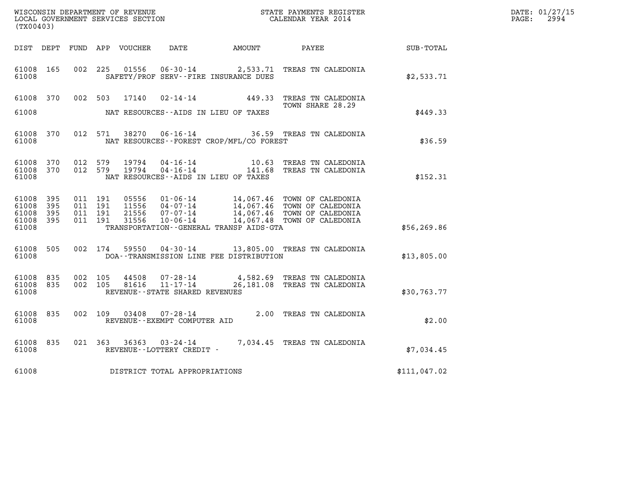| (TX00403)                                         |              |                                          |                    |       |                                |                                              | WISCONSIN DEPARTMENT OF REVENUE<br>LOCAL GOVERNMENT SERVICES SECTION<br>CALENDAR YEAR 2014                                                                                                              |                                                     | DATE: 01/27/15<br>$\mathtt{PAGE:}$<br>2994 |
|---------------------------------------------------|--------------|------------------------------------------|--------------------|-------|--------------------------------|----------------------------------------------|---------------------------------------------------------------------------------------------------------------------------------------------------------------------------------------------------------|-----------------------------------------------------|--------------------------------------------|
|                                                   |              |                                          |                    |       |                                | DIST DEPT FUND APP VOUCHER DATE AMOUNT PAYEE |                                                                                                                                                                                                         | $\begin{array}{lcl} \text{SUB - TOTAL} \end{array}$ |                                            |
| 61008 165<br>61008                                |              | 002 225                                  |                    | 01556 |                                | SAFETY/PROF SERV--FIRE INSURANCE DUES        | 06-30-14 2,533.71 TREAS TN CALEDONIA                                                                                                                                                                    | \$2,533.71                                          |                                            |
|                                                   | 61008 370    |                                          |                    |       |                                |                                              | 002 503 17140 02-14-14 449.33 TREAS TN CALEDONIA<br>TOWN SHARE 28.29                                                                                                                                    |                                                     |                                            |
| 61008                                             |              |                                          |                    |       |                                | NAT RESOURCES--AIDS IN LIEU OF TAXES         |                                                                                                                                                                                                         | \$449.33                                            |                                            |
| 61008                                             | 61008 370    |                                          |                    |       |                                | NAT RESOURCES - - FOREST CROP/MFL/CO FOREST  | 012 571 38270 06-16-14 36.59 TREAS TN CALEDONIA                                                                                                                                                         | \$36.59                                             |                                            |
| 61008 370<br>61008                                | 61008 370    |                                          | 012 579<br>012 579 |       |                                | NAT RESOURCES--AIDS IN LIEU OF TAXES         |                                                                                                                                                                                                         | \$152.31                                            |                                            |
| 61008 395<br>61008<br>61008<br>61008 395<br>61008 | - 395<br>395 | 011 191<br>011 191<br>011 191<br>011 191 |                    |       |                                | TRANSPORTATION--GENERAL TRANSP AIDS-GTA      |                                                                                                                                                                                                         | \$56, 269.86                                        |                                            |
| 61008 505<br>61008                                |              |                                          |                    |       |                                | DOA--TRANSMISSION LINE FEE DISTRIBUTION      | 002 174 59550 04-30-14 13,805.00 TREAS TN CALEDONIA                                                                                                                                                     | \$13,805.00                                         |                                            |
| 61008 835<br>61008 835<br>61008                   |              | 002 105<br>002 105                       |                    |       | REVENUE--STATE SHARED REVENUES |                                              | $\begin{tabular}{llllll} 44508 & 07\texttt{-}28\texttt{-}14 & & 4,582.69 & \texttt{TREAS TN CALEDONIA} \\ 81616 & 11\texttt{-}17\texttt{-}14 & & 26,181.08 & \texttt{TREAS TN CALEDONIA} \end{tabular}$ | \$30,763.77                                         |                                            |
| 61008 835<br>61008                                |              |                                          |                    |       | REVENUE--EXEMPT COMPUTER AID   |                                              | 002 109 03408 07-28-14 2.00 TREAS TN CALEDONIA                                                                                                                                                          | \$2.00                                              |                                            |
| 61008 835<br>61008                                |              |                                          |                    |       | REVENUE--LOTTERY CREDIT -      |                                              | 021 363 36363 03-24-14 7,034.45 TREAS TN CALEDONIA                                                                                                                                                      | \$7.034.45                                          |                                            |
| 61008                                             |              |                                          |                    |       | DISTRICT TOTAL APPROPRIATIONS  |                                              |                                                                                                                                                                                                         | \$111,047.02                                        |                                            |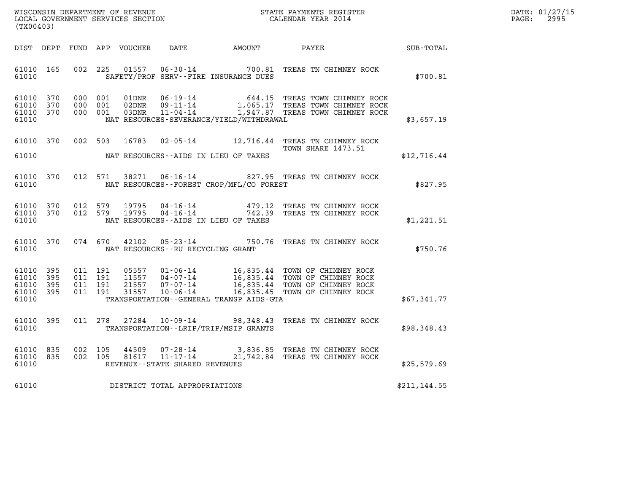| WISCONSIN DEPARTMENT OF REVENUE   | STATE PAYMENTS REGISTER | DATE: 01/27/15 |
|-----------------------------------|-------------------------|----------------|
| LOCAL GOVERNMENT SERVICES SECTION | CALENDAR YEAR 2014      | 2995<br>PAGE:  |

| (TX00403)                                                                                | WISCONSIN DEPARTMENT OF REVENUE<br>STATE PAYMENTS REGISTER<br>LOCAL GOVERNMENT SERVICES SECTION<br>CALENDAR YEAR 2014                          |                                                  |                                                                                              |              |  |  |  |  |  |
|------------------------------------------------------------------------------------------|------------------------------------------------------------------------------------------------------------------------------------------------|--------------------------------------------------|----------------------------------------------------------------------------------------------|--------------|--|--|--|--|--|
| DIST<br>DEPT<br>FUND                                                                     | APP<br>VOUCHER<br>DATE                                                                                                                         | AMOUNT                                           | PAYEE                                                                                        | SUB-TOTAL    |  |  |  |  |  |
| 165<br>002<br>61010<br>61010                                                             | 225<br>01557<br>$06 - 30 - 14$<br>SAFETY/PROF SERV--FIRE INSURANCE DUES                                                                        | 700.81                                           | TREAS TN CHIMNEY ROCK                                                                        | \$700.81     |  |  |  |  |  |
| 370<br>000<br>61010<br>61010<br>370<br>000<br>370<br>000<br>61010<br>61010               | 001<br>$06 - 19 - 14$<br>01DNR<br>$09 - 11 - 14$<br>001<br>02DNR<br>001<br>03DNR<br>$11 - 04 - 14$<br>NAT RESOURCES-SEVERANCE/YIELD/WITHDRAWAL | 644.15<br>1,065.17                               | TREAS TOWN CHIMNEY ROCK<br>TREAS TOWN CHIMNEY ROCK<br>1,947.87 TREAS TOWN CHIMNEY ROCK       | \$3,657.19   |  |  |  |  |  |
| 370<br>002<br>61010                                                                      | 503<br>16783<br>$02 - 05 - 14$                                                                                                                 | 12,716.44                                        | TREAS TN CHIMNEY ROCK<br><b>TOWN SHARE 1473.51</b>                                           |              |  |  |  |  |  |
| 61010                                                                                    | NAT RESOURCES -- AIDS IN LIEU OF TAXES                                                                                                         |                                                  |                                                                                              | \$12,716.44  |  |  |  |  |  |
| 012<br>370<br>61010<br>61010                                                             | 38271<br>$06 - 16 - 14$<br>571<br>NAT RESOURCES - - FOREST CROP/MFL/CO FOREST                                                                  |                                                  | 827.95 TREAS TN CHIMNEY ROCK                                                                 | \$827.95     |  |  |  |  |  |
| 012<br>61010<br>370<br>370<br>012<br>61010<br>61010                                      | 579<br>19795<br>$04 - 16 - 14$<br>579<br>19795<br>$04 - 16 - 14$<br>NAT RESOURCES--AIDS IN LIEU OF TAXES                                       | 479.12<br>742.39                                 | TREAS TN CHIMNEY ROCK<br>TREAS TN CHIMNEY ROCK                                               | \$1,221.51   |  |  |  |  |  |
| 61010<br>370<br>074<br>61010                                                             | 670<br>42102<br>$05 - 23 - 14$<br>NAT RESOURCES - - RU RECYCLING GRANT                                                                         | 750.76                                           | TREAS TN CHIMNEY ROCK                                                                        | \$750.76     |  |  |  |  |  |
| 61010<br>395<br>011<br>61010<br>395<br>011<br>395<br>011<br>61010<br>61010<br>395<br>011 | 191<br>05557<br>$01 - 06 - 14$<br>11557<br>191<br>04-07-14<br>191<br>21557<br>$07 - 07 - 14$<br>191<br>31557<br>$10 - 06 - 14$                 | 16,835.44<br>16,835.44<br>16,835.44<br>16,835.45 | TOWN OF CHIMNEY ROCK<br>TOWN OF CHIMNEY ROCK<br>TOWN OF CHIMNEY ROCK<br>TOWN OF CHIMNEY ROCK |              |  |  |  |  |  |
| 61010                                                                                    | TRANSPORTATION--GENERAL TRANSP AIDS-GTA                                                                                                        |                                                  |                                                                                              | \$67,341.77  |  |  |  |  |  |
| 395<br>61010<br>011<br>61010                                                             | 27284<br>278<br>$10 - 09 - 14$<br>TRANSPORTATION - - LRIP/TRIP/MSIP GRANTS                                                                     | 98,348.43                                        | TREAS TN CHIMNEY ROCK                                                                        | \$98,348.43  |  |  |  |  |  |
| 61010<br>835<br>002<br>61010<br>835<br>002<br>61010                                      | 105<br>44509<br>$07 - 28 - 14$<br>105<br>81617<br>$11 - 17 - 14$<br>REVENUE - - STATE SHARED REVENUES                                          | 3,836.85                                         | TREAS TN CHIMNEY ROCK<br>21,742.84 TREAS TN CHIMNEY ROCK                                     | \$25,579.69  |  |  |  |  |  |
| 61010                                                                                    | DISTRICT TOTAL APPROPRIATIONS                                                                                                                  |                                                  |                                                                                              | \$211,144.55 |  |  |  |  |  |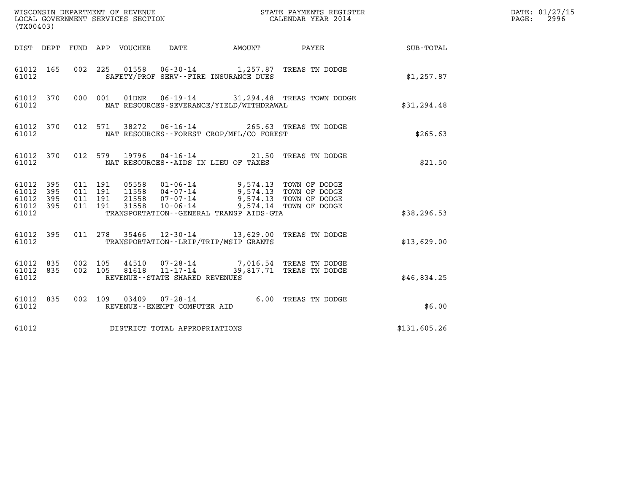| (TX00403)                                                 |                    |                            | WISCONSIN DEPARTMENT OF REVENUE<br>LOCAL GOVERNMENT SERVICES SECTION |                                                                                                                                                                                                                         | STATE PAYMENTS REGISTER<br>CALENDAR YEAR 2014 |              | DATE: 01/27/15<br>$\mathtt{PAGE:}$<br>2996 |
|-----------------------------------------------------------|--------------------|----------------------------|----------------------------------------------------------------------|-------------------------------------------------------------------------------------------------------------------------------------------------------------------------------------------------------------------------|-----------------------------------------------|--------------|--------------------------------------------|
|                                                           |                    | DIST DEPT FUND APP VOUCHER | DATE                                                                 |                                                                                                                                                                                                                         |                                               |              |                                            |
| 61012 165<br>61012                                        |                    |                            |                                                                      | 002 225 01558 06-30-14 1,257.87 TREAS TN DODGE<br>SAFETY/PROF SERV--FIRE INSURANCE DUES                                                                                                                                 |                                               | \$1,257.87   |                                            |
| 61012 370<br>61012                                        |                    | 000 001                    |                                                                      | NAT RESOURCES-SEVERANCE/YIELD/WITHDRAWAL                                                                                                                                                                                | 01DNR  06-19-14  31, 294.48  TREAS TOWN DODGE | \$31,294.48  |                                            |
| 61012 370<br>61012                                        |                    | 012 571                    |                                                                      | 38272  06-16-14  265.63  TREAS TN DODGE<br>NAT RESOURCES--FOREST CROP/MFL/CO FOREST                                                                                                                                     |                                               | \$265.63     |                                            |
| 61012 370<br>61012                                        |                    |                            | NAT RESOURCES--AIDS IN LIEU OF TAXES                                 | 012 579 19796 04-16-14 21.50 TREAS TN DODGE                                                                                                                                                                             |                                               | \$21.50      |                                            |
| 61012 395<br>61012 395<br>61012 395<br>61012 395<br>61012 | 011 191<br>011 191 | 011 191<br>011 191         |                                                                      | 05558  01-06-14  9,574.13  TOWN OF DODGE<br>11558  04-07-14  9,574.13  TOWN OF DODGE<br>21558  07-07-14  9,574.13  TOWN OF DODGE<br>31558  10-06-14  9,574.14  TOWN OF DODGE<br>TRANSPORTATION--GENERAL TRANSP AIDS-GTA |                                               | \$38, 296.53 |                                            |
| 61012 395<br>61012                                        |                    |                            |                                                                      | 011 278 35466 12-30-14 13,629.00 TREAS TN DODGE<br>TRANSPORTATION--LRIP/TRIP/MSIP GRANTS                                                                                                                                |                                               | \$13,629.00  |                                            |
| 61012 835<br>61012 835<br>61012                           | 002 105<br>002 105 |                            | REVENUE--STATE SHARED REVENUES                                       | 44510  07-28-14  7,016.54 TREAS TN DODGE<br>81618  11-17-14  39,817.71 TREAS TN DODGE                                                                                                                                   |                                               | \$46,834.25  |                                            |
| 61012 835<br>61012                                        |                    |                            | REVENUE--EXEMPT COMPUTER AID                                         | 002 109 03409 07-28-14 6.00 TREAS TN DODGE                                                                                                                                                                              |                                               | \$6.00       |                                            |
| 61012                                                     |                    |                            | DISTRICT TOTAL APPROPRIATIONS                                        |                                                                                                                                                                                                                         |                                               | \$131,605.26 |                                            |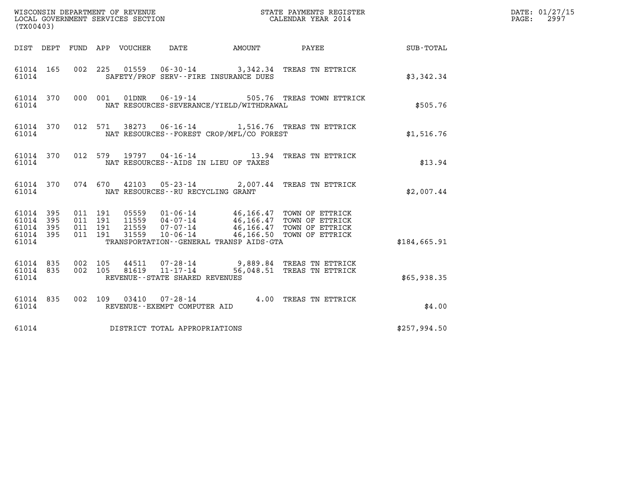| (TX00403)                                                    |                                          |                                                                                                                             |                        |              | DATE: 01/27/15<br>$\mathtt{PAGE:}$<br>2997 |
|--------------------------------------------------------------|------------------------------------------|-----------------------------------------------------------------------------------------------------------------------------|------------------------|--------------|--------------------------------------------|
|                                                              |                                          | DIST DEPT FUND APP VOUCHER DATE                                                                                             | AMOUNT PAYEE SUB-TOTAL |              |                                            |
| 61014 165<br>61014                                           |                                          | 002 225 01559 06-30-14 3,342.34 TREAS TN ETTRICK<br>SAFETY/PROF SERV--FIRE INSURANCE DUES                                   |                        | \$3,342.34   |                                            |
| 61014 370<br>61014                                           |                                          | 000 001 01DNR 06-19-14 505.76 TREAS TOWN ETTRICK<br>NAT RESOURCES-SEVERANCE/YIELD/WITHDRAWAL                                |                        | \$505.76     |                                            |
| 61014                                                        |                                          | 61014 370 012 571 38273 06-16-14 1,516.76 TREAS TN ETTRICK<br>NAT RESOURCES--FOREST CROP/MFL/CO FOREST                      |                        | \$1,516.76   |                                            |
| 61014                                                        |                                          | 61014 370 012 579 19797 04-16-14 13.94 TREAS TN ETTRICK<br>NAT RESOURCES--AIDS IN LIEU OF TAXES                             |                        | \$13.94      |                                            |
| 61014                                                        |                                          | 61014 370 074 670 42103 05-23-14 2,007.44 TREAS TN ETTRICK<br>NAT RESOURCES--RU RECYCLING GRANT                             |                        | \$2.007.44   |                                            |
| 61014 395<br>61014 395<br>61014<br>395<br>61014 395<br>61014 | 011 191<br>011 191<br>011 191<br>011 191 | TRANSPORTATION--GENERAL TRANSP AIDS-GTA                                                                                     |                        | \$184,665.91 |                                            |
| 61014 835 002 105<br>61014 835<br>61014                      | 002 105                                  | 44511  07-28-14  9,889.84 TREAS TN ETTRICK<br>81619  11-17-14  56,048.51 TREAS TN ETTRICK<br>REVENUE--STATE SHARED REVENUES |                        | \$65,938.35  |                                            |
| 61014 835<br>61014                                           |                                          | 002 109 03410 07-28-14 4.00 TREAS TN ETTRICK<br>REVENUE--EXEMPT COMPUTER AID                                                |                        | \$4.00       |                                            |
| 61014                                                        |                                          | DISTRICT TOTAL APPROPRIATIONS                                                                                               |                        | \$257,994.50 |                                            |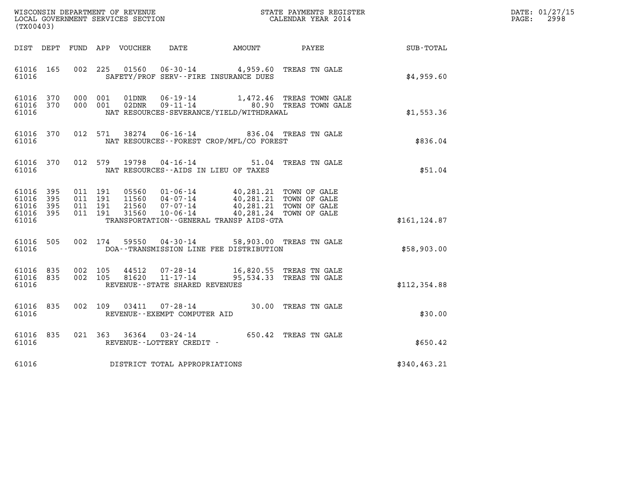| (TX00403)                                     |                     |                                          |         |                                  |                                   |                                                                                                                                                      |                                                                           |               | DATE: 01/27/15<br>$\mathtt{PAGE:}$<br>2998 |
|-----------------------------------------------|---------------------|------------------------------------------|---------|----------------------------------|-----------------------------------|------------------------------------------------------------------------------------------------------------------------------------------------------|---------------------------------------------------------------------------|---------------|--------------------------------------------|
|                                               |                     |                                          |         |                                  |                                   |                                                                                                                                                      |                                                                           |               |                                            |
| 61016 165<br>61016                            |                     |                                          | 002 225 | 01560                            |                                   | 06-30-14 4,959.60 TREAS TN GALE<br>SAFETY/PROF SERV--FIRE INSURANCE DUES                                                                             |                                                                           | \$4,959.60    |                                            |
| 61016 370<br>61016 370<br>61016               |                     | 000 001<br>000 001                       |         | 01DNR<br>02DNR                   |                                   | NAT RESOURCES-SEVERANCE/YIELD/WITHDRAWAL                                                                                                             | 06-19-14 1,472.46 TREAS TOWN GALE<br>09-11-14       80.90 TREAS TOWN GALE | \$1,553.36    |                                            |
| 61016 370<br>61016                            |                     |                                          |         |                                  |                                   | 012 571 38274 06-16-14 836.04 TREAS TN GALE<br>NAT RESOURCES - - FOREST CROP/MFL/CO FOREST                                                           |                                                                           | \$836.04      |                                            |
| 61016 370<br>61016                            |                     |                                          |         |                                  |                                   | 012 579 19798 04-16-14 51.04 TREAS TN GALE<br>NAT RESOURCES--AIDS IN LIEU OF TAXES                                                                   |                                                                           | \$51.04       |                                            |
| 61016 395<br>61016<br>61016<br>61016<br>61016 | 395<br>395<br>- 395 | 011 191<br>011 191<br>011 191<br>011 191 |         | 05560<br>11560<br>21560<br>31560 |                                   | 01-06-14 40,281.21 TOWN OF GALE<br>04-07-14<br>07-07-14<br>07-07-14<br>10-06-14<br>40,281.24 TOWN OF GALE<br>TRANSPORTATION--GENERAL TRANSP AIDS-GTA |                                                                           | \$161, 124.87 |                                            |
| 61016 505<br>61016                            |                     | 002 174                                  |         | 59550                            |                                   | 04-30-14 58,903.00 TREAS TN GALE<br>DOA--TRANSMISSION LINE FEE DISTRIBUTION                                                                          |                                                                           | \$58,903.00   |                                            |
| 61016 835<br>61016                            | 61016 835           | 002 105<br>002 105                       |         | 44512                            | REVENUE - - STATE SHARED REVENUES | 07-28-14 16,820.55 TREAS TN GALE<br>81620 11-17-14 95,534.33 TREAS TN GALE                                                                           |                                                                           | \$112,354.88  |                                            |
| 61016 835<br>61016                            |                     |                                          |         |                                  | REVENUE--EXEMPT COMPUTER AID      | 002 109 03411 07-28-14 30.00 TREAS TN GALE                                                                                                           |                                                                           | \$30.00       |                                            |
| 61016 835<br>61016                            |                     |                                          |         |                                  | REVENUE--LOTTERY CREDIT -         | 021 363 36364 03-24-14 650.42 TREAS TN GALE                                                                                                          |                                                                           | \$650.42      |                                            |
| 61016                                         |                     |                                          |         |                                  | DISTRICT TOTAL APPROPRIATIONS     |                                                                                                                                                      |                                                                           | \$340,463.21  |                                            |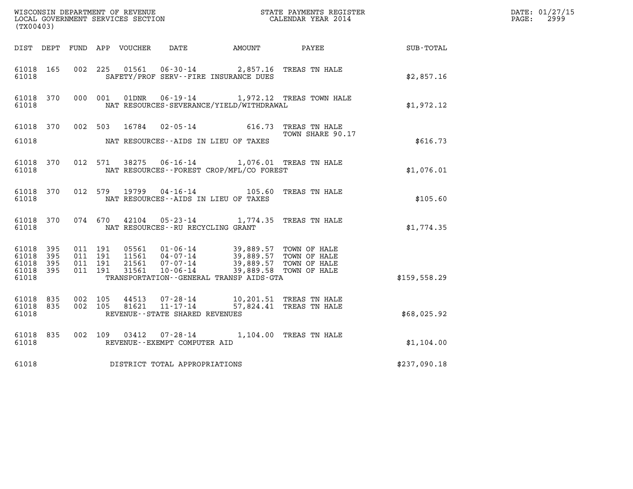| (TX00403)                                         |            |                               |         |                  |                                                     |                                                                                                                                                                             |                                                                                                                                                                                                                                     |               | DATE: 01/27/15<br>$\mathtt{PAGE:}$<br>2999 |
|---------------------------------------------------|------------|-------------------------------|---------|------------------|-----------------------------------------------------|-----------------------------------------------------------------------------------------------------------------------------------------------------------------------------|-------------------------------------------------------------------------------------------------------------------------------------------------------------------------------------------------------------------------------------|---------------|--------------------------------------------|
| DIST DEPT                                         |            |                               |         | FUND APP VOUCHER |                                                     | DATE AMOUNT                                                                                                                                                                 | <b>PAYEE</b> FOR THE STATE OF THE STATE OF THE STATE OF THE STATE OF THE STATE OF THE STATE OF THE STATE OF THE STATE OF THE STATE OF THE STATE OF THE STATE OF THE STATE OF THE STATE OF THE STATE OF THE STATE OF THE STATE OF TH | SUB-TOTAL     |                                            |
| 61018 165<br>61018                                |            |                               |         | 002 225 01561    |                                                     | 06-30-14 2,857.16 TREAS TN HALE<br>SAFETY/PROF SERV--FIRE INSURANCE DUES                                                                                                    |                                                                                                                                                                                                                                     | \$2,857.16    |                                            |
| 61018 370<br>61018                                |            |                               | 000 001 |                  |                                                     | NAT RESOURCES-SEVERANCE/YIELD/WITHDRAWAL                                                                                                                                    | 01DNR  06-19-14   1,972.12 TREAS TOWN HALE                                                                                                                                                                                          | \$1,972.12    |                                            |
| 61018 370<br>61018                                |            |                               | 002 503 | 16784            |                                                     | 02-05-14 616.73 TREAS TN HALE<br>NAT RESOURCES--AIDS IN LIEU OF TAXES                                                                                                       | TOWN SHARE 90.17                                                                                                                                                                                                                    | \$616.73      |                                            |
| 61018 370<br>61018                                |            |                               |         |                  |                                                     | 012 571 38275 06-16-14 1,076.01 TREAS TN HALE<br>NAT RESOURCES - - FOREST CROP/MFL/CO FOREST                                                                                |                                                                                                                                                                                                                                     | \$1,076.01    |                                            |
| 61018 370<br>61018                                |            | 012 579                       |         | 19799            |                                                     | 04-16-14 105.60 TREAS TN HALE<br>NAT RESOURCES--AIDS IN LIEU OF TAXES                                                                                                       |                                                                                                                                                                                                                                     | \$105.60      |                                            |
| 61018 370<br>61018                                |            |                               | 074 670 |                  | NAT RESOURCES - - RU RECYCLING GRANT                | 42104  05-23-14  1,774.35  TREAS TN HALE                                                                                                                                    |                                                                                                                                                                                                                                     | \$1,774.35    |                                            |
| 61018<br>61018<br>61018 395<br>61018 395<br>61018 | 395<br>395 | 011 191<br>011 191<br>011 191 | 011 191 | 31561            | $10 - 06 - 14$                                      | 05561  01-06-14  39,889.57  TOWN OF HALE<br>11561  04-07-14  39,889.57  TOWN OF HALE<br>21561  07-07-14  39,889.57  TOWN OF HALE<br>TRANSPORTATION--GENERAL TRANSP AIDS-GTA | 39,889.58 TOWN OF HALE                                                                                                                                                                                                              | \$159, 558.29 |                                            |
| 61018 835<br>61018 835<br>61018                   |            | 002 105<br>002 105            |         | 44513<br>81621   | $11 - 17 - 14$<br>REVENUE - - STATE SHARED REVENUES | 07-28-14 10,201.51 TREAS TN HALE                                                                                                                                            | 57,824.41 TREAS TN HALE                                                                                                                                                                                                             | \$68,025.92   |                                            |
| 61018 835<br>61018                                |            | 002 109                       |         | 03412            | REVENUE--EXEMPT COMPUTER AID                        | 07-28-14 1,104.00 TREAS TN HALE                                                                                                                                             |                                                                                                                                                                                                                                     | \$1,104.00    |                                            |
| 61018                                             |            |                               |         |                  | DISTRICT TOTAL APPROPRIATIONS                       |                                                                                                                                                                             |                                                                                                                                                                                                                                     | \$237,090.18  |                                            |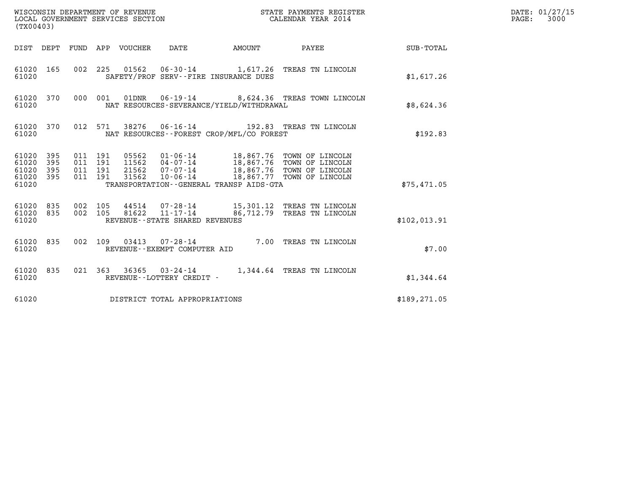| (TX00403)                                         |            |                                          |                                 | WISCONSIN DEPARTMENT OF REVENUE<br>LOCAL GOVERNMENT SERVICES SECTION |               | STATE PAYMENTS REGISTER<br>CALENDAR YEAR 2014                                                                                                                                   |               | DATE: 01/27/15<br>$\mathtt{PAGE:}$<br>3000 |
|---------------------------------------------------|------------|------------------------------------------|---------------------------------|----------------------------------------------------------------------|---------------|---------------------------------------------------------------------------------------------------------------------------------------------------------------------------------|---------------|--------------------------------------------|
|                                                   |            |                                          | DIST DEPT FUND APP VOUCHER DATE |                                                                      | <b>AMOUNT</b> | PAYEE                                                                                                                                                                           | SUB-TOTAL     |                                            |
| 61020 165<br>61020                                |            |                                          |                                 | SAFETY/PROF SERV--FIRE INSURANCE DUES                                |               | 002 225 01562 06-30-14 1,617.26 TREAS TN LINCOLN                                                                                                                                | \$1,617.26    |                                            |
| 61020 370<br>61020                                |            |                                          |                                 | NAT RESOURCES-SEVERANCE/YIELD/WITHDRAWAL                             |               | 000 001 01DNR  06-19-14  8,624.36 TREAS TOWN LINCOLN                                                                                                                            | \$8,624.36    |                                            |
| 61020 370<br>61020                                |            | 012 571                                  |                                 | NAT RESOURCES - - FOREST CROP/MFL/CO FOREST                          |               | 38276  06-16-14  192.83  TREAS TN LINCOLN                                                                                                                                       | \$192.83      |                                            |
| 61020 395<br>61020<br>61020<br>61020 395<br>61020 | 395<br>395 | 011 191<br>011 191<br>011 191<br>011 191 | 31562                           | TRANSPORTATION--GENERAL TRANSP AIDS-GTA                              |               | 05562  01-06-14  18,867.76  TOWN OF LINCOLN<br>11562  04-07-14  18,867.76  TOWN OF LINCOLN<br>21562  07-07-14  18,867.76  TOWN OF LINCOLN<br>10-06-14 18,867.77 TOWN OF LINCOLN | \$75,471.05   |                                            |
| 61020 835<br>61020 835<br>61020                   |            | 002 105<br>002 105                       |                                 | REVENUE - - STATE SHARED REVENUES                                    |               | 44514  07-28-14  15,301.12 TREAS TN LINCOLN<br>81622  11-17-14  86,712.79 TREAS TN LINCOLN                                                                                      | \$102,013.91  |                                            |
| 61020 835<br>61020                                |            | 002 109                                  |                                 | REVENUE--EXEMPT COMPUTER AID                                         |               | 03413  07-28-14  7.00 TREAS TN LINCOLN                                                                                                                                          | \$7.00        |                                            |
| 61020 835<br>61020                                |            |                                          |                                 | REVENUE--LOTTERY CREDIT -                                            |               | 021 363 36365 03-24-14 1,344.64 TREAS TN LINCOLN                                                                                                                                | \$1,344.64    |                                            |
| 61020                                             |            |                                          |                                 | DISTRICT TOTAL APPROPRIATIONS                                        |               |                                                                                                                                                                                 | \$189, 271.05 |                                            |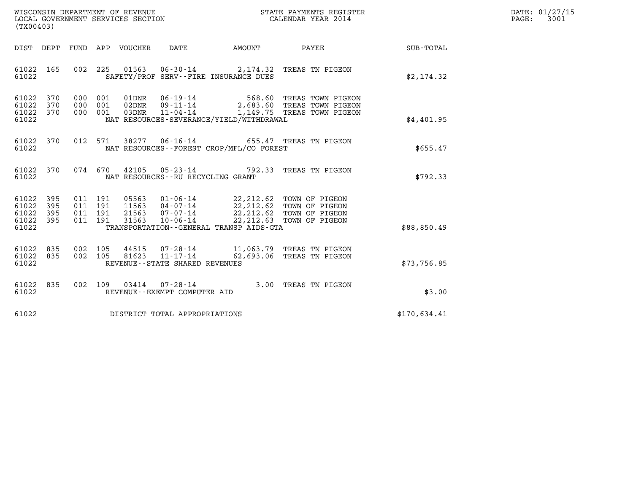| WISCONSIN DEPARTMENT OF REVENUE   | STATE PAYMENTS REGISTER | DATE: 01/27/15 |
|-----------------------------------|-------------------------|----------------|
| LOCAL GOVERNMENT SERVICES SECTION | CALENDAR YEAR 2014      | 3001<br>PAGE:  |

| DEPT<br>FUND<br>APP<br>VOUCHER<br>DATE<br>AMOUNT<br>PAYEE<br><b>SUB-TOTAL</b><br>DIST<br>61022<br>165<br>002<br>225<br>01563  06-30-14  2,174.32  TREAS TN PIGEON<br>61022<br>SAFETY/PROF SERV--FIRE INSURANCE DUES<br>\$2,174.32<br>61022<br>370<br>000<br>001<br>01DNR<br>06-19-14<br>568.60 TREAS TOWN PIGEON<br>$09 - 11 - 14$<br>2,683.60 TREAS TOWN PIGEON<br>61022<br>370<br>000<br>001<br>02DNR<br>$11 - 04 - 14$<br>1,149.75 TREAS TOWN PIGEON<br>61022<br>370<br>000<br>001<br>03DNR<br>NAT RESOURCES-SEVERANCE/YIELD/WITHDRAWAL<br>61022<br>\$4,401.95<br>012<br>06-16-14 655.47 TREAS TN PIGEON<br>61022<br>370<br>571<br>38277<br>61022<br>NAT RESOURCES - - FOREST CROP/MFL/CO FOREST<br>\$655.47<br>370<br>074<br>61022<br>670<br>42105<br>$05 - 23 - 14$ 792.33<br>TREAS TN PIGEON<br>\$792.33<br>61022<br>NAT RESOURCES - - RU RECYCLING GRANT<br>61022<br>395<br>011<br>191<br>05563<br>01-06-14<br>22, 212, 62 TOWN OF PIGEON<br>395<br>011<br>191<br>11563<br>$04 - 07 - 14$<br>61022<br>22, 212.62 TOWN OF PIGEON<br>191<br>21563<br>22, 212.62 TOWN OF PIGEON<br>61022<br>395<br>011<br>07-07-14<br>22, 212.63<br>61022<br>395<br>011<br>191<br>31563<br>$10 - 06 - 14$<br>TOWN OF PIGEON<br>61022<br>\$88,850.49<br>TRANSPORTATION--GENERAL TRANSP AIDS-GTA<br>835<br>002<br>105<br>11,063.79 TREAS TN PIGEON<br>61022<br>44515<br>$07 - 28 - 14$<br>81623<br>$11 - 17 - 14$<br>62,693.06<br>61022<br>835<br>002<br>105<br>TREAS TN PIGEON<br>\$73,756.85<br>61022<br>REVENUE - - STATE SHARED REVENUES<br>61022<br>835<br>002<br>109<br>3.00<br>03414<br>$07 - 28 - 14$<br>TREAS TN PIGEON<br>61022<br>REVENUE - - EXEMPT COMPUTER AID<br>\$3.00<br>61022<br>\$170,634.41<br>DISTRICT TOTAL APPROPRIATIONS | (TX00403) |  |
|------------------------------------------------------------------------------------------------------------------------------------------------------------------------------------------------------------------------------------------------------------------------------------------------------------------------------------------------------------------------------------------------------------------------------------------------------------------------------------------------------------------------------------------------------------------------------------------------------------------------------------------------------------------------------------------------------------------------------------------------------------------------------------------------------------------------------------------------------------------------------------------------------------------------------------------------------------------------------------------------------------------------------------------------------------------------------------------------------------------------------------------------------------------------------------------------------------------------------------------------------------------------------------------------------------------------------------------------------------------------------------------------------------------------------------------------------------------------------------------------------------------------------------------------------------------------------------------------------------------------------------------------------------------------------------------------------------------------------------|-----------|--|
|                                                                                                                                                                                                                                                                                                                                                                                                                                                                                                                                                                                                                                                                                                                                                                                                                                                                                                                                                                                                                                                                                                                                                                                                                                                                                                                                                                                                                                                                                                                                                                                                                                                                                                                                    |           |  |
|                                                                                                                                                                                                                                                                                                                                                                                                                                                                                                                                                                                                                                                                                                                                                                                                                                                                                                                                                                                                                                                                                                                                                                                                                                                                                                                                                                                                                                                                                                                                                                                                                                                                                                                                    |           |  |
|                                                                                                                                                                                                                                                                                                                                                                                                                                                                                                                                                                                                                                                                                                                                                                                                                                                                                                                                                                                                                                                                                                                                                                                                                                                                                                                                                                                                                                                                                                                                                                                                                                                                                                                                    |           |  |
|                                                                                                                                                                                                                                                                                                                                                                                                                                                                                                                                                                                                                                                                                                                                                                                                                                                                                                                                                                                                                                                                                                                                                                                                                                                                                                                                                                                                                                                                                                                                                                                                                                                                                                                                    |           |  |
|                                                                                                                                                                                                                                                                                                                                                                                                                                                                                                                                                                                                                                                                                                                                                                                                                                                                                                                                                                                                                                                                                                                                                                                                                                                                                                                                                                                                                                                                                                                                                                                                                                                                                                                                    |           |  |
|                                                                                                                                                                                                                                                                                                                                                                                                                                                                                                                                                                                                                                                                                                                                                                                                                                                                                                                                                                                                                                                                                                                                                                                                                                                                                                                                                                                                                                                                                                                                                                                                                                                                                                                                    |           |  |
|                                                                                                                                                                                                                                                                                                                                                                                                                                                                                                                                                                                                                                                                                                                                                                                                                                                                                                                                                                                                                                                                                                                                                                                                                                                                                                                                                                                                                                                                                                                                                                                                                                                                                                                                    |           |  |
|                                                                                                                                                                                                                                                                                                                                                                                                                                                                                                                                                                                                                                                                                                                                                                                                                                                                                                                                                                                                                                                                                                                                                                                                                                                                                                                                                                                                                                                                                                                                                                                                                                                                                                                                    |           |  |
|                                                                                                                                                                                                                                                                                                                                                                                                                                                                                                                                                                                                                                                                                                                                                                                                                                                                                                                                                                                                                                                                                                                                                                                                                                                                                                                                                                                                                                                                                                                                                                                                                                                                                                                                    |           |  |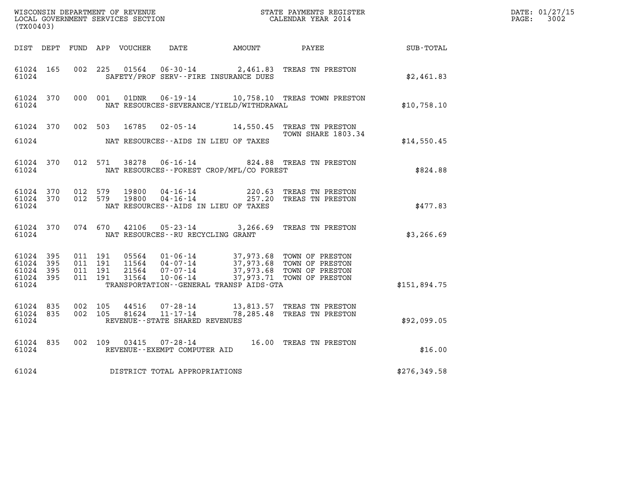| $\tt WISCONSIM DEPARTMENT OF REVENUE$ $\tt WISCONSIMENT$ SERVICES SECTION $\tt CALENDAR YEAR$ 2014 CALENDAR SERVICES SECTION<br>(TX00403) |                        |                                          |         |                            |                                                                 |                                          |                                                                                                                                 |              | DATE: 01/27/15<br>$\mathtt{PAGE:}$<br>3002 |
|-------------------------------------------------------------------------------------------------------------------------------------------|------------------------|------------------------------------------|---------|----------------------------|-----------------------------------------------------------------|------------------------------------------|---------------------------------------------------------------------------------------------------------------------------------|--------------|--------------------------------------------|
|                                                                                                                                           |                        |                                          |         | DIST DEPT FUND APP VOUCHER | DATE                                                            | AMOUNT                                   | PAYEE                                                                                                                           | SUB-TOTAL    |                                            |
| 61024 165<br>61024                                                                                                                        |                        | 002 225                                  |         | 01564                      | $06 - 30 - 14$                                                  | SAFETY/PROF SERV--FIRE INSURANCE DUES    | 2,461.83 TREAS TN PRESTON                                                                                                       | \$2,461.83   |                                            |
| 61024                                                                                                                                     | 61024 370              |                                          | 000 001 | 01DNR                      |                                                                 | NAT RESOURCES-SEVERANCE/YIELD/WITHDRAWAL | 06-19-14 10,758.10 TREAS TOWN PRESTON                                                                                           | \$10,758.10  |                                            |
| 61024 370<br>61024                                                                                                                        |                        |                                          | 002 503 | 16785                      |                                                                 | NAT RESOURCES--AIDS IN LIEU OF TAXES     | 02-05-14 14,550.45 TREAS TN PRESTON<br>TOWN SHARE 1803.34                                                                       | \$14,550.45  |                                            |
| 61024 370<br>61024                                                                                                                        |                        |                                          | 012 571 |                            |                                                                 | NAT RESOURCES--FOREST CROP/MFL/CO FOREST | 38278  06-16-14  824.88  TREAS TN PRESTON                                                                                       | \$824.88     |                                            |
| 61024                                                                                                                                     | 61024 370<br>61024 370 | 012 579<br>012 579                       |         | 19800<br>19800             | 04 - 16 - 14<br>04 - 16 - 14                                    | NAT RESOURCES -- AIDS IN LIEU OF TAXES   | 220.63 TREAS TN PRESTON<br>257.20 TREAS TN PRESTON                                                                              | \$477.83     |                                            |
| 61024 370<br>61024                                                                                                                        |                        |                                          | 074 670 | 42106                      | NAT RESOURCES - - RU RECYCLING GRANT                            |                                          | 05-23-14 3,266.69 TREAS TN PRESTON                                                                                              | \$3,266.69   |                                            |
| 61024 395<br>61024<br>61024<br>61024 395<br>61024                                                                                         | - 395<br>- 395         | 011 191<br>011 191<br>011 191<br>011 191 |         | 21564<br>31564             | 05564 01-06-14<br>$07 - 07 - 14$<br>10-06-14                    | TRANSPORTATION--GENERAL TRANSP AIDS-GTA  | 37,973.68 TOWN OF PRESTON<br>11564 04-07-14 37,973.68 TOWN OF PRESTON<br>37,973.68 TOWN OF PRESTON<br>37,973.71 TOWN OF PRESTON | \$151,894.75 |                                            |
| 61024 835<br>61024 835<br>61024                                                                                                           |                        | 002 105<br>002 105                       |         | 44516<br>81624             | 07-28-14<br>$11 - 17 - 14$<br>REVENUE - - STATE SHARED REVENUES |                                          | 13,813.57 TREAS TN PRESTON<br>78,285.48 TREAS TN PRESTON                                                                        | \$92,099.05  |                                            |
| 61024 835<br>61024                                                                                                                        |                        | 002 109                                  |         | 03415                      | $07 - 28 - 14$<br>REVENUE--EXEMPT COMPUTER AID                  |                                          | 16.00 TREAS TN PRESTON                                                                                                          | \$16.00      |                                            |
| 61024                                                                                                                                     |                        |                                          |         |                            | DISTRICT TOTAL APPROPRIATIONS                                   |                                          |                                                                                                                                 | \$276,349.58 |                                            |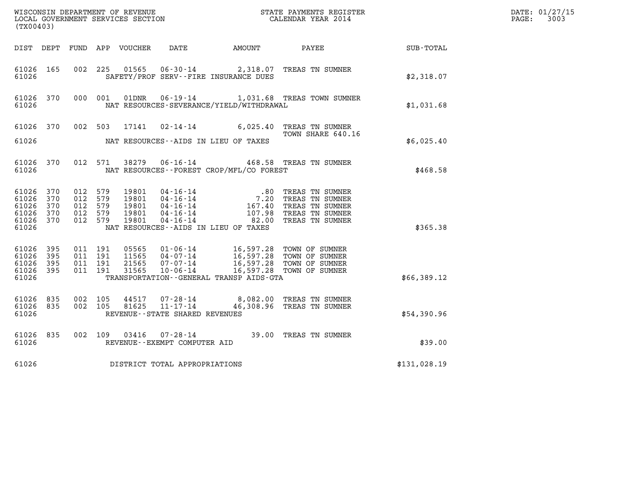| (TX00403)                                                  |                   |                                                     |         |                                           |                                                                                        |                                                                                                                   |                                                                                                      |                  | DATE: 01/27/15<br>$\mathtt{PAGE:}$<br>3003 |
|------------------------------------------------------------|-------------------|-----------------------------------------------------|---------|-------------------------------------------|----------------------------------------------------------------------------------------|-------------------------------------------------------------------------------------------------------------------|------------------------------------------------------------------------------------------------------|------------------|--------------------------------------------|
| DIST DEPT                                                  |                   |                                                     |         | FUND APP VOUCHER                          |                                                                                        | DATE AMOUNT                                                                                                       | PAYEE                                                                                                | <b>SUB-TOTAL</b> |                                            |
| 61026 165<br>61026                                         |                   | 002 225                                             |         | 01565                                     |                                                                                        | SAFETY/PROF SERV--FIRE INSURANCE DUES                                                                             | 06-30-14 2,318.07 TREAS TN SUMNER                                                                    | \$2,318.07       |                                            |
| 61026 370<br>61026                                         |                   | 000 001                                             |         | 01DNR                                     |                                                                                        | NAT RESOURCES-SEVERANCE/YIELD/WITHDRAWAL                                                                          | 06-19-14 1,031.68 TREAS TOWN SUMNER                                                                  | \$1,031.68       |                                            |
| 61026 370                                                  |                   | 002 503                                             |         | 17141                                     |                                                                                        |                                                                                                                   | 02-14-14 6,025.40 TREAS TN SUMNER<br>TOWN SHARE 640.16                                               |                  |                                            |
| 61026                                                      |                   |                                                     |         |                                           |                                                                                        | NAT RESOURCES--AIDS IN LIEU OF TAXES                                                                              |                                                                                                      | \$6,025.40       |                                            |
| 61026 370<br>61026                                         |                   |                                                     | 012 571 |                                           |                                                                                        | NAT RESOURCES--FOREST CROP/MFL/CO FOREST                                                                          | 38279  06-16-14  468.58  TREAS TN SUMNER                                                             | \$468.58         |                                            |
| 61026 370<br>61026<br>61026<br>61026<br>61026 370<br>61026 | 370<br>370<br>370 | 012 579<br>012 579<br>012 579<br>012 579<br>012 579 |         | 19801<br>19801<br>19801<br>19801<br>19801 | $04 - 16 - 14$<br>$04 - 16 - 14$<br>$04 - 16 - 14$<br>$04 - 16 - 14$<br>$04 - 16 - 14$ | 167.40<br>107.98<br>82.00<br>NAT RESOURCES -- AIDS IN LIEU OF TAXES                                               | .80 TREAS TN SUMNER<br>7.20 TREAS TN SUMNER<br>TREAS TN SUMNER<br>TREAS TN SUMNER<br>TREAS TN SUMNER | \$365.38         |                                            |
| 61026 395<br>61026<br>61026<br>61026 395<br>61026          | 395<br>- 395      | 011 191<br>011 191<br>011 191<br>011 191            |         | 05565<br>11565<br>21565<br>31565          | $07 - 07 - 14$<br>$10 - 06 - 14$                                                       | 01-06-14 16,597.28 TOWN OF SUMNER<br>04-07-14 16,597.28 TOWN OF SUMNER<br>TRANSPORTATION--GENERAL TRANSP AIDS-GTA | 16,597.28 TOWN OF SUMNER<br>16,597.28 TOWN OF SUMNER                                                 | \$66,389.12      |                                            |
| 61026<br>61026 835<br>61026                                | 835               | 002 105<br>002 105                                  |         | 44517<br>81625                            | 07-28-14<br>11-17-14<br>REVENUE - - STATE SHARED REVENUES                              |                                                                                                                   | 8,082.00 TREAS TN SUMNER<br>46,308.96 TREAS TN SUMNER                                                | \$54,390.96      |                                            |
| 61026<br>61026                                             | 835               | 002 109                                             |         | 03416                                     | $07 - 28 - 14$<br>REVENUE--EXEMPT COMPUTER AID                                         |                                                                                                                   | 39.00 TREAS TN SUMNER                                                                                | \$39.00          |                                            |
| 61026                                                      |                   |                                                     |         |                                           | DISTRICT TOTAL APPROPRIATIONS                                                          |                                                                                                                   |                                                                                                      | \$131,028.19     |                                            |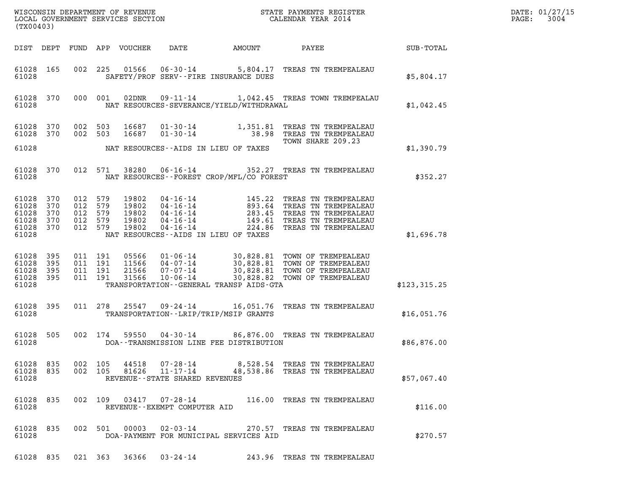| (TX00403)                       |                                             |                                          |                    |       |                                                          |                                                | DATE: 01/27/15<br>$\mathtt{PAGE}$ :<br>3004                                                                                                                                                                                                                                  |               |  |
|---------------------------------|---------------------------------------------|------------------------------------------|--------------------|-------|----------------------------------------------------------|------------------------------------------------|------------------------------------------------------------------------------------------------------------------------------------------------------------------------------------------------------------------------------------------------------------------------------|---------------|--|
|                                 |                                             |                                          |                    |       |                                                          |                                                |                                                                                                                                                                                                                                                                              |               |  |
| 61028                           | 61028 165                                   |                                          |                    |       |                                                          | SAFETY/PROF SERV--FIRE INSURANCE DUES          | 002 225 01566 06-30-14 5,804.17 TREAS TN TREMPEALEAU                                                                                                                                                                                                                         | \$5,804.17    |  |
|                                 | 61028 370<br>61028                          |                                          |                    |       |                                                          |                                                | 000 001 02DNR 09-11-14 1,042.45 TREAS TOWN TREMPEALAU<br>NAT RESOURCES-SEVERANCE/YIELD/WITHDRAWAL                                                                                                                                                                            | \$1,042.45    |  |
|                                 | 61028 370<br>61028 370                      |                                          | 002 503<br>002 503 |       |                                                          | 61028 NAT RESOURCES--AIDS IN LIEU OF TAXES     | 16687  01-30-14  1,351.81  TREAS TN TREMPEALEAU<br>16687  01-30-14  38.98  TREAS TN TREMPEALEAU<br>TOWN SHARE 209.23                                                                                                                                                         | \$1,390.79    |  |
|                                 |                                             |                                          |                    |       |                                                          |                                                |                                                                                                                                                                                                                                                                              |               |  |
|                                 |                                             |                                          |                    |       |                                                          | 61028 MAT RESOURCES--FOREST CROP/MFL/CO FOREST | 61028 370 012 571 38280 06-16-14 352.27 TREAS TN TREMPEALEAU                                                                                                                                                                                                                 | \$352.27      |  |
| 61028 370<br>61028 370<br>61028 | 61028 370<br>61028 370<br>61028 370 012 579 | 012 579<br>012 579<br>012 579<br>012 579 |                    |       |                                                          | NAT RESOURCES--AIDS IN LIEU OF TAXES           | 19802  04-16-14  145.22 TREAS TN TREMPEALEAU<br>19802  04-16-14  893.64 TREAS TN TREMPEALEAU<br>19802  04-16-14  283.45 TREAS TN TREMPEALEAU<br>19802  04-16-14  149.61 TREAS TN TREMPEALEAU<br>19802  04-16-14                                                              | \$1,696.78    |  |
| 61028 395<br>61028 395<br>61028 | 61028 395<br>61028 395                      |                                          |                    |       |                                                          |                                                | 011 191 05566 01-06-14 30,828.81 TOWN OF TREMPEALEAU<br>011 191 11566 04-07-14 30,828.81 TOWN OF TREMPEALEAU<br>011 191 31566 07-07-14 30,828.81 TOWN OF TREMPEALEAU<br>011 191 31566 10-06-14 30,828.82 TOWN OF TREMPEALEAU<br>TRANSPORTATION - - GENERAL TRANSP AIDS - GTA | \$123, 315.25 |  |
|                                 | 61028 395<br>61028                          |                                          |                    |       |                                                          | TRANSPORTATION - - LRIP/TRIP/MSIP GRANTS       | 011  278  25547  09-24-14   16,051.76  TREAS TN TREMPEALEAU                                                                                                                                                                                                                  | \$16,051.76   |  |
| 61028                           | 61028 505                                   |                                          |                    |       |                                                          | DOA--TRANSMISSION LINE FEE DISTRIBUTION        | 002 174 59550 04-30-14 86,876.00 TREAS TN TREMPEALEAU                                                                                                                                                                                                                        | \$86,876.00   |  |
| 61028 835<br>61028              | 61028 835                                   |                                          | 002 105            | 44518 | 002 105 81626 11-17-14<br>REVENUE--STATE SHARED REVENUES |                                                | 07-28-14 8,528.54 TREAS TN TREMPEALEAU<br>48,538.86 TREAS TN TREMPEALEAU                                                                                                                                                                                                     | \$57,067.40   |  |
| 61028                           | 61028 835                                   |                                          |                    |       | REVENUE - - EXEMPT COMPUTER AID                          |                                                | 002  109  03417  07-28-14  116.00  TREAS TN TREMPEALEAU                                                                                                                                                                                                                      | \$116.00      |  |
| 61028                           | 61028 835                                   |                                          |                    |       |                                                          | DOA-PAYMENT FOR MUNICIPAL SERVICES AID         | 002 501 00003 02-03-14 270.57 TREAS TN TREMPEALEAU                                                                                                                                                                                                                           | \$270.57      |  |
|                                 |                                             |                                          |                    |       | 61028 835 021 363 36366 03-24-14                         |                                                | 243.96 TREAS TN TREMPEALEAU                                                                                                                                                                                                                                                  |               |  |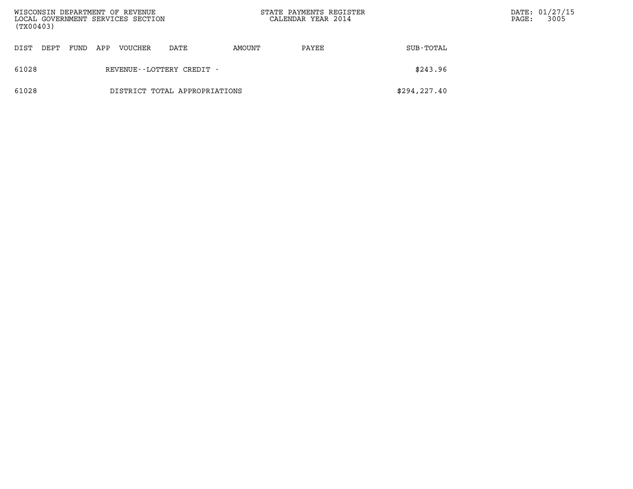| WISCONSIN DEPARTMENT OF REVENUE<br>LOCAL GOVERNMENT SERVICES SECTION<br>(TX00403) |                               |                                                   |  |  |  |  | STATE PAYMENTS REGISTER<br>CALENDAR YEAR 2014 |               | $\mathtt{PAGE}$ : | DATE: 01/27/15<br>3005 |
|-----------------------------------------------------------------------------------|-------------------------------|---------------------------------------------------|--|--|--|--|-----------------------------------------------|---------------|-------------------|------------------------|
| DIST                                                                              | DEPT                          | VOUCHER<br>AMOUNT<br>FUND<br>APP<br>DATE<br>PAYEE |  |  |  |  | SUB-TOTAL                                     |               |                   |                        |
| 61028                                                                             |                               | REVENUE--LOTTERY CREDIT -                         |  |  |  |  |                                               | \$243.96      |                   |                        |
| 61028                                                                             | DISTRICT TOTAL APPROPRIATIONS |                                                   |  |  |  |  |                                               | \$294, 227.40 |                   |                        |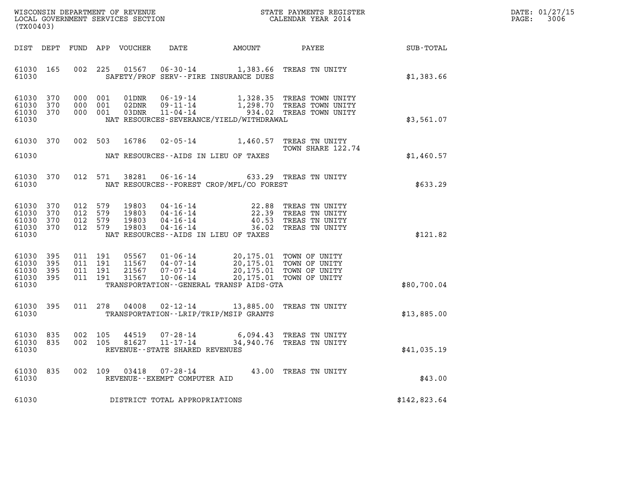| $\mathtt{DATE}$ : | 01/27/15 |
|-------------------|----------|
| PAGE:             | 3006     |

| (TX00403)                                         |                               |                               |                               |                                  |                                                                 |                                                                                                                                                                                            | ${\tt WISCOONSIM} \begin{tabular}{lcccc} DEPARTMENT OF REVENUE & & & & & & \begin{tabular}{l} \bf STATE \end{tabular} \end{tabular} \begin{tabular}{lcccc} \bf RTATE \end{tabular} \end{tabular} \begin{tabular}{lcccc} \bf RTATE \end{tabular} \end{tabular} \begin{tabular}{lcccc} \bf RTATE \end{tabular} \end{tabular} \begin{tabular}{lcccc} \bf RTATE \end{tabular} \end{tabular} \begin{tabular}{lcccc} \bf RTATE \end{tabular} \end{tabular} \begin{tabular}{lcccc} \bf RTATE \end{tabular} \end{tabular} \begin{tabular}{lcccc} \bf RTATE \end{$ |              | DATE: 01/27/15<br>3006<br>PAGE: |
|---------------------------------------------------|-------------------------------|-------------------------------|-------------------------------|----------------------------------|-----------------------------------------------------------------|--------------------------------------------------------------------------------------------------------------------------------------------------------------------------------------------|-----------------------------------------------------------------------------------------------------------------------------------------------------------------------------------------------------------------------------------------------------------------------------------------------------------------------------------------------------------------------------------------------------------------------------------------------------------------------------------------------------------------------------------------------------------|--------------|---------------------------------|
| DIST DEPT                                         |                               |                               |                               | FUND APP VOUCHER                 | DATE                                                            | AMOUNT                                                                                                                                                                                     | PAYEE                                                                                                                                                                                                                                                                                                                                                                                                                                                                                                                                                     | SUB-TOTAL    |                                 |
| 61030 165<br>61030                                |                               |                               | 002 225                       |                                  |                                                                 | 01567  06-30-14  1,383.66  TREAS TN UNITY<br>SAFETY/PROF SERV--FIRE INSURANCE DUES                                                                                                         |                                                                                                                                                                                                                                                                                                                                                                                                                                                                                                                                                           | \$1,383.66   |                                 |
| 61030<br>61030<br>61030 370<br>61030              | 370<br>370                    | 000                           | 000 001<br>001<br>000 001     | 01DNR<br>02DNR<br>03DNR          | $11 - 04 - 14$                                                  | NAT RESOURCES-SEVERANCE/YIELD/WITHDRAWAL                                                                                                                                                   | 06-19-14 1,328.35 TREAS TOWN UNITY<br>09-11-14 1,298.70 TREAS TOWN UNITY<br>934.02 TREAS TOWN UNITY                                                                                                                                                                                                                                                                                                                                                                                                                                                       | \$3,561.07   |                                 |
| 61030 370<br>61030                                |                               |                               | 002 503 16786                 |                                  |                                                                 | 02-05-14 1,460.57 TREAS TN UNITY<br>NAT RESOURCES--AIDS IN LIEU OF TAXES                                                                                                                   | TOWN SHARE 122.74                                                                                                                                                                                                                                                                                                                                                                                                                                                                                                                                         | \$1,460.57   |                                 |
| 61030 370<br>61030                                |                               |                               | 012 571                       | 38281                            |                                                                 | 06-16-14 633.29 TREAS TN UNITY<br>NAT RESOURCES - - FOREST CROP/MFL/CO FOREST                                                                                                              |                                                                                                                                                                                                                                                                                                                                                                                                                                                                                                                                                           | \$633.29     |                                 |
| 61030<br>61030<br>61030<br>61030 370<br>61030     | 370<br>370<br>370             | 012 579<br>012 579<br>012 579 | 012 579                       | 19803<br>19803<br>19803<br>19803 | $04 - 16 - 14$                                                  | 04-16-14<br>04-16-14<br>04-16-14<br>04-16-14<br>04-16-14<br>04-16-14<br>04-16-14<br>04-16-14<br>NAT RESOURCES--AIDS IN LIEU OF TAXES                                                       | 36.02 TREAS TN UNITY                                                                                                                                                                                                                                                                                                                                                                                                                                                                                                                                      | \$121.82     |                                 |
| 61030 395<br>61030<br>61030<br>61030 395<br>61030 | 395<br>395                    | 011 191                       | 011 191<br>011 191<br>011 191 | 05567<br>31567                   | 11567   04-07-14<br>21567 07-07-14                              | 01-06-14 20,175.01 TOWN OF UNITY<br>04-07-14 20,175.01 TOWN OF UNITY<br>07-07-14 20,175.01 TOWN OF UNITY<br>10-06-14 20,175.01 TOWN OF UNITY<br>TRANSPORTATION - - GENERAL TRANSP AIDS-GTA |                                                                                                                                                                                                                                                                                                                                                                                                                                                                                                                                                           | \$80,700.04  |                                 |
| 61030 395<br>61030                                |                               |                               | 011 278                       | 04008                            |                                                                 | 02-12-14 13,885.00 TREAS TN UNITY<br>TRANSPORTATION - - LRIP/TRIP/MSIP GRANTS                                                                                                              |                                                                                                                                                                                                                                                                                                                                                                                                                                                                                                                                                           | \$13,885.00  |                                 |
| 61030 835<br>61030 835<br>61030                   |                               | 002 105                       | 002 105                       | 44519<br>81627                   | 07-28-14<br>$11 - 17 - 14$<br>REVENUE - - STATE SHARED REVENUES |                                                                                                                                                                                            | 6,094.43 TREAS TN UNITY<br>34,940.76 TREAS TN UNITY                                                                                                                                                                                                                                                                                                                                                                                                                                                                                                       | \$41,035.19  |                                 |
| 61030<br>61030                                    | 835                           |                               | 002 109                       | 03418                            | 07-28-14<br>REVENUE--EXEMPT COMPUTER AID                        |                                                                                                                                                                                            | 43.00 TREAS TN UNITY                                                                                                                                                                                                                                                                                                                                                                                                                                                                                                                                      | \$43.00      |                                 |
| 61030                                             | DISTRICT TOTAL APPROPRIATIONS |                               |                               |                                  |                                                                 |                                                                                                                                                                                            |                                                                                                                                                                                                                                                                                                                                                                                                                                                                                                                                                           | \$142,823.64 |                                 |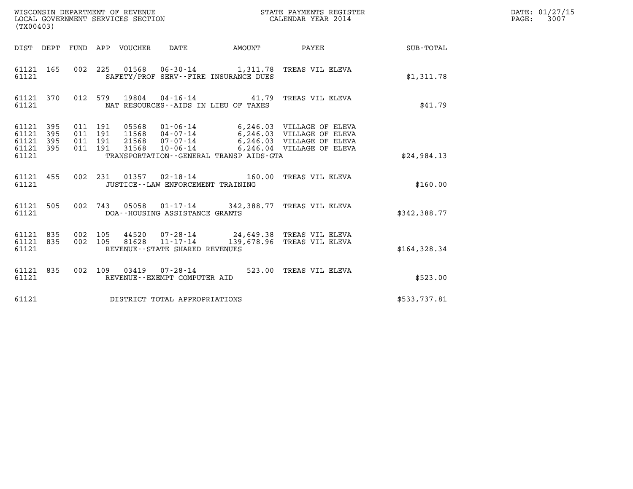| (TX00403)                                                 |           |                                          |                                 |                                                     |              | STATE PAYMENTS REGISTER                                                                                                                                                   |              | DATE: 01/27/15<br>$\mathtt{PAGE:}$<br>3007 |
|-----------------------------------------------------------|-----------|------------------------------------------|---------------------------------|-----------------------------------------------------|--------------|---------------------------------------------------------------------------------------------------------------------------------------------------------------------------|--------------|--------------------------------------------|
|                                                           |           |                                          | DIST DEPT FUND APP VOUCHER DATE |                                                     | AMOUNT PAYEE |                                                                                                                                                                           | SUB-TOTAL    |                                            |
| 61121 165<br>61121                                        |           |                                          |                                 | SAFETY/PROF SERV--FIRE INSURANCE DUES               |              | 002 225 01568 06-30-14 1,311.78 TREAS VIL ELEVA                                                                                                                           | \$1,311.78   |                                            |
| 61121                                                     | 61121 370 |                                          |                                 | NAT RESOURCES--AIDS IN LIEU OF TAXES                |              | 012 579 19804 04-16-14 41.79 TREAS VIL ELEVA                                                                                                                              | \$41.79      |                                            |
| 61121 395<br>61121 395<br>61121 395<br>61121 395<br>61121 |           | 011 191<br>011 191<br>011 191<br>011 191 | 31568                           | 10-06-14<br>TRANSPORTATION--GENERAL TRANSP AIDS-GTA |              | 05568  01-06-14   6,246.03  VILLAGE OF ELEVA<br>11568  04-07-14   6,246.03  VILLAGE OF ELEVA<br>21568  07-07-14   6,246.03  VILLAGE OF ELEVA<br>6,246.04 VILLAGE OF ELEVA | \$24,984.13  |                                            |
| 61121 455<br>61121                                        |           |                                          |                                 | JUSTICE - - LAW ENFORCEMENT TRAINING                |              | 002 231 01357 02-18-14 160.00 TREAS VIL ELEVA                                                                                                                             | \$160.00     |                                            |
| 61121 505<br>61121                                        |           |                                          |                                 | DOA--HOUSING ASSISTANCE GRANTS                      |              | 002 743 05058 01-17-14 342,388.77 TREAS VIL ELEVA                                                                                                                         | \$342,388.77 |                                            |
| 61121 835<br>61121 835<br>61121                           |           | 002 105<br>002 105                       | 81628                           | 11-17-14<br>REVENUE--STATE SHARED REVENUES          |              | 44520 07-28-14 24,649.38 TREAS VIL ELEVA<br>139,678.96 TREAS VIL ELEVA                                                                                                    | \$164,328.34 |                                            |
| 61121 835<br>61121                                        |           |                                          |                                 | REVENUE--EXEMPT COMPUTER AID                        |              | 002 109 03419 07-28-14 523.00 TREAS VIL ELEVA                                                                                                                             | \$523.00     |                                            |
| 61121                                                     |           |                                          |                                 | DISTRICT TOTAL APPROPRIATIONS                       |              |                                                                                                                                                                           | \$533,737.81 |                                            |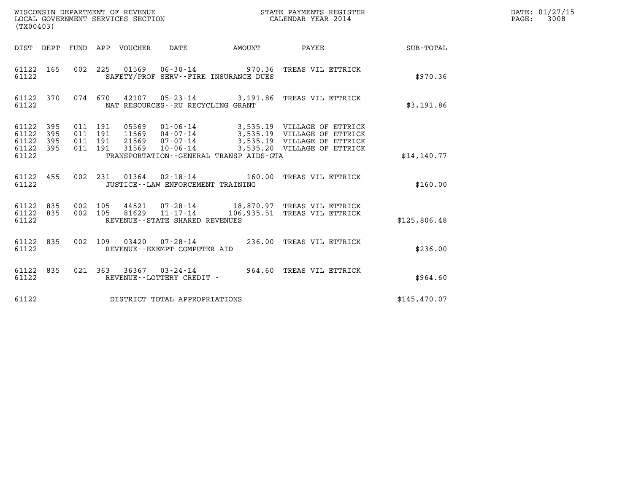| (TX00403)                                                        |     |                                          |                | WISCONSIN DEPARTMENT OF REVENUE<br>LOCAL GOVERNMENT SERVICES SECTION |               | STATE PAYMENTS REGISTER<br>CALENDAR YEAR 2014                                                                                                                         |              | DATE: 01/27/15<br>$\mathtt{PAGE:}$<br>3008 |
|------------------------------------------------------------------|-----|------------------------------------------|----------------|----------------------------------------------------------------------|---------------|-----------------------------------------------------------------------------------------------------------------------------------------------------------------------|--------------|--------------------------------------------|
| DIST DEPT FUND APP VOUCHER DATE                                  |     |                                          |                |                                                                      | <b>AMOUNT</b> | <b>PAYEE</b>                                                                                                                                                          | SUB-TOTAL    |                                            |
| 61122 165<br>61122                                               |     |                                          |                | SAFETY/PROF SERV--FIRE INSURANCE DUES                                |               | 002 225 01569 06-30-14 970.36 TREAS VIL ETTRICK                                                                                                                       | \$970.36     |                                            |
| 61122 370<br>61122                                               |     |                                          |                | NAT RESOURCES - - RU RECYCLING GRANT                                 |               | 074  670  42107  05-23-14  3,191.86  TREAS VIL ETTRICK                                                                                                                | \$3,191.86   |                                            |
| 61122<br>- 395<br>61122<br>61122<br>395<br>61122<br>395<br>61122 | 395 | 011 191<br>011 191<br>011 191<br>011 191 | 05569<br>31569 | 10-06-14<br>TRANSPORTATION--GENERAL TRANSP AIDS-GTA                  |               | 01-06-14 3,535.19 VILLAGE OF ETTRICK<br>11569  04-07-14  3,535.19  VILLAGE OF ETTRICK<br>21569  07-07-14  3,535.19  VILLAGE OF ETTRICK<br>3,535.20 VILLAGE OF ETTRICK | \$14, 140.77 |                                            |
| 61122 455<br>61122                                               |     |                                          |                | JUSTICE - - LAW ENFORCEMENT TRAINING                                 |               | 002 231 01364 02-18-14 160.00 TREAS VIL ETTRICK                                                                                                                       | \$160.00     |                                            |
| 61122 835<br>61122 835<br>61122                                  |     | 002 105<br>002 105                       |                | REVENUE - - STATE SHARED REVENUES                                    |               | 44521  07-28-14  18,870.97  TREAS VIL ETTRICK<br>81629   11-17-14   106,935.51   TREAS VIL ETTRICK                                                                    | \$125,806.48 |                                            |
| 61122 835<br>61122                                               |     | 002 109                                  |                | 03420  07-28-14<br>REVENUE--EXEMPT COMPUTER AID                      |               | 236.00 TREAS VIL ETTRICK                                                                                                                                              | \$236.00     |                                            |
| 61122 835<br>61122                                               |     |                                          |                | REVENUE--LOTTERY CREDIT -                                            |               | 021 363 36367 03-24-14 964.60 TREAS VIL ETTRICK                                                                                                                       | \$964.60     |                                            |
| 61122                                                            |     |                                          |                | DISTRICT TOTAL APPROPRIATIONS                                        |               |                                                                                                                                                                       | \$145,470.07 |                                            |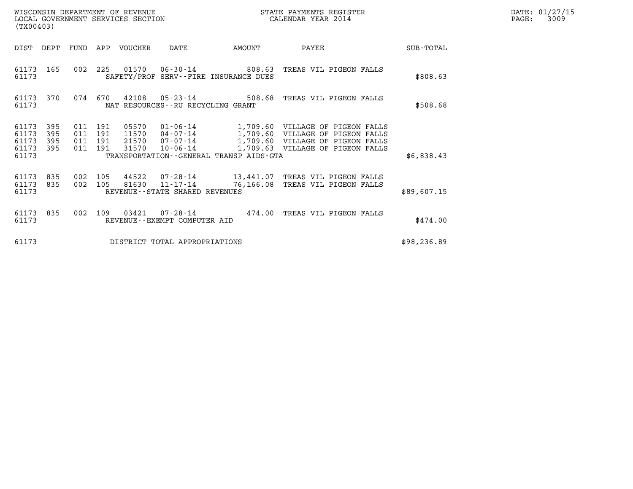| DATE: | 01/27/15 |
|-------|----------|
| PAGE: | 3009     |

| WISCONSIN DEPARTMENT OF REVENUE<br>LOCAL GOVERNMENT SERVICES SECTION<br>(TX00403) |                               |                                  |            |                |                                                          |                                         | STATE PAYMENTS REGISTER<br>CALENDAR YEAR 2014                                                                                                                                                     |  | DATE: 01/27/15<br>3009<br>$\mathtt{PAGE}$ : |  |
|-----------------------------------------------------------------------------------|-------------------------------|----------------------------------|------------|----------------|----------------------------------------------------------|-----------------------------------------|---------------------------------------------------------------------------------------------------------------------------------------------------------------------------------------------------|--|---------------------------------------------|--|
| DIST                                                                              | DEPT                          | FUND                             |            | APP VOUCHER    | DATE                                                     | AMOUNT                                  | PAYEE                                                                                                                                                                                             |  | SUB-TOTAL                                   |  |
| 61173 165<br>61173                                                                |                               | 002                              | 225        |                |                                                          | SAFETY/PROF SERV--FIRE INSURANCE DUES   | 01570   06-30-14   808.63   TREAS VIL PIGEON FALLS                                                                                                                                                |  | \$808.63                                    |  |
| 61173 370<br>61173                                                                |                               |                                  | 074 670    |                | $42108$ 05-23-14<br>NAT RESOURCES - - RU RECYCLING GRANT |                                         | 508.68 TREAS VIL PIGEON FALLS                                                                                                                                                                     |  | \$508.68                                    |  |
| 61173<br>61173<br>61173<br>61173<br>61173                                         | 395<br>395<br>395<br>395      | 011 191<br>011<br>011<br>011 191 | 191<br>191 | 05570<br>31570 | $10 - 06 - 14$                                           | TRANSPORTATION--GENERAL TRANSP AIDS-GTA | $01 - 06 - 14$ 1,709.60 VILLAGE OF PIGEON FALLS<br>11570  04-07-14   1,709.60  VILLAGE OF PIGEON FALLS<br>21570  07-07-14   1,709.60  VILLAGE OF PIGEON FALLS<br>1,709.63 VILLAGE OF PIGEON FALLS |  | \$6,838.43                                  |  |
| 61173 835<br>61173<br>61173                                                       | 835                           | 002<br>002                       | 105<br>105 | 44522          | 81630 11-17-14<br>REVENUE--STATE SHARED REVENUES         | 76,166.08                               | 07-28-14 13,441.07 TREAS VIL PIGEON FALLS<br>TREAS VIL PIGEON FALLS                                                                                                                               |  | \$89,607.15                                 |  |
| 61173<br>61173                                                                    | 835                           | 002                              | 109        | 03421          | 07-28-14<br>REVENUE--EXEMPT COMPUTER AID                 |                                         | 474.00 TREAS VIL PIGEON FALLS                                                                                                                                                                     |  | \$474.00                                    |  |
| 61173                                                                             | DISTRICT TOTAL APPROPRIATIONS |                                  |            |                |                                                          |                                         |                                                                                                                                                                                                   |  | \$98,236.89                                 |  |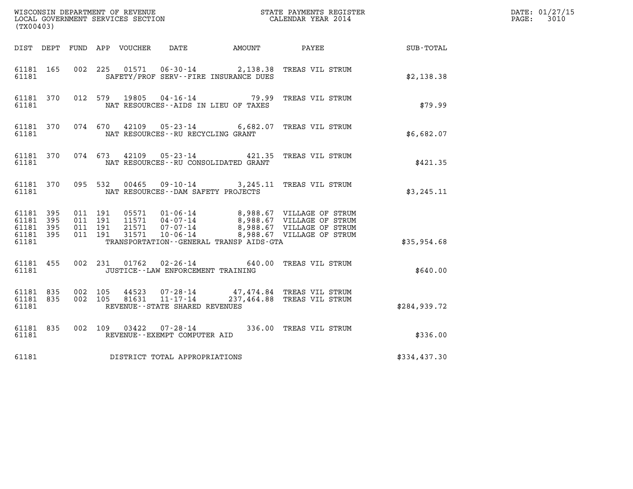| (TX00403)                                                 |                               |                                          |         |               |                                      |                                         |                                                                                                                                                                                          |               | DATE: 01/27/15<br>$\mathtt{PAGE:}$<br>3010 |
|-----------------------------------------------------------|-------------------------------|------------------------------------------|---------|---------------|--------------------------------------|-----------------------------------------|------------------------------------------------------------------------------------------------------------------------------------------------------------------------------------------|---------------|--------------------------------------------|
|                                                           |                               |                                          |         |               |                                      |                                         | DIST DEPT FUND APP VOUCHER DATE AMOUNT PAYEE                                                                                                                                             | SUB-TOTAL     |                                            |
| 61181 165<br>61181                                        |                               |                                          |         |               |                                      | SAFETY/PROF SERV--FIRE INSURANCE DUES   | 002 225 01571 06-30-14 2,138.38 TREAS VIL STRUM                                                                                                                                          | \$2,138.38    |                                            |
| 61181 370<br>61181                                        |                               |                                          |         | 012 579 19805 |                                      | NAT RESOURCES -- AIDS IN LIEU OF TAXES  | 04-16-14 79.99 TREAS VIL STRUM                                                                                                                                                           | \$79.99       |                                            |
| 61181 370<br>61181                                        |                               |                                          |         |               | NAT RESOURCES - - RU RECYCLING GRANT |                                         | 074 670 42109 05-23-14 6,682.07 TREAS VIL STRUM                                                                                                                                          | \$6,682.07    |                                            |
| 61181 370<br>61181                                        |                               |                                          |         |               |                                      | NAT RESOURCES - - RU CONSOLIDATED GRANT | 074  673  42109  05-23-14  421.35  TREAS VIL STRUM                                                                                                                                       | \$421.35      |                                            |
| 61181 370<br>61181                                        |                               |                                          | 095 532 |               |                                      | NAT RESOURCES--DAM SAFETY PROJECTS      | 00465  09-10-14  3,245.11  TREAS VIL STRUM                                                                                                                                               | \$3,245.11    |                                            |
| 61181 395<br>61181 395<br>61181 395<br>61181 395<br>61181 |                               | 011 191<br>011 191<br>011 191<br>011 191 |         |               |                                      | TRANSPORTATION--GENERAL TRANSP AIDS-GTA | 05571  01-06-14  8,988.67  VILLAGE OF STRUM<br>11571  04-07-14  8,988.67  VILLAGE OF STRUM<br>21571  07-07-14  8,988.67  VILLAGE OF STRUM<br>31571  10-06-14  8,988.67  VILLAGE OF STRUM |               |                                            |
|                                                           |                               |                                          |         |               |                                      |                                         |                                                                                                                                                                                          | \$35,954.68   |                                            |
| 61181 455<br>61181                                        |                               |                                          |         |               |                                      | JUSTICE - - LAW ENFORCEMENT TRAINING    | 002 231 01762 02-26-14 640.00 TREAS VIL STRUM                                                                                                                                            | \$640.00      |                                            |
| 61181 835<br>61181 835<br>61181                           |                               | 002 105<br>002 105                       |         |               | REVENUE - - STATE SHARED REVENUES    |                                         | 44523  07-28-14  47,474.84  TREAS VIL STRUM<br>81631  11-17-14  237,464.88  TREAS VIL STRUM                                                                                              | \$284, 939.72 |                                            |
| 61181 835<br>61181                                        |                               |                                          |         |               | REVENUE--EXEMPT COMPUTER AID         |                                         | 002 109 03422 07-28-14 336.00 TREAS VIL STRUM                                                                                                                                            | \$336.00      |                                            |
| 61181                                                     | DISTRICT TOTAL APPROPRIATIONS |                                          |         |               |                                      |                                         |                                                                                                                                                                                          | \$334,437.30  |                                            |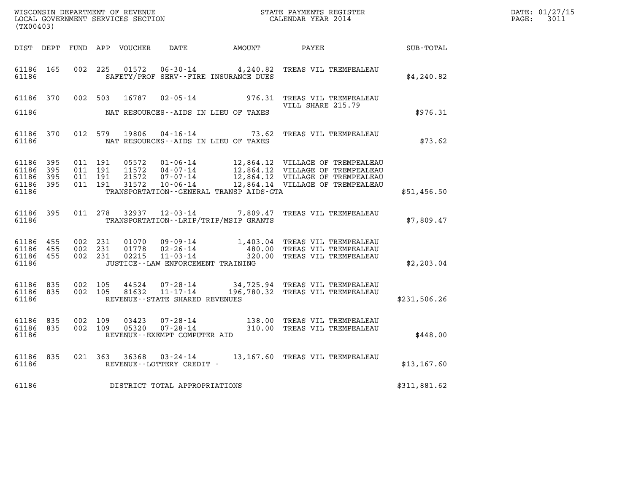| (TX00403)                                                 |           |         |                               |                                  |                                                  |                                              |                                                                                                                                                                                  |              | DATE: 01/27/15<br>$\mathtt{PAGE:}$<br>3011 |
|-----------------------------------------------------------|-----------|---------|-------------------------------|----------------------------------|--------------------------------------------------|----------------------------------------------|----------------------------------------------------------------------------------------------------------------------------------------------------------------------------------|--------------|--------------------------------------------|
|                                                           |           |         |                               |                                  |                                                  |                                              | DIST DEPT FUND APP VOUCHER DATE AMOUNT PAYEE                                                                                                                                     | SUB-TOTAL    |                                            |
| 61186 165<br>61186                                        |           |         |                               |                                  |                                                  | SAFETY/PROF SERV--FIRE INSURANCE DUES        | 002 225 01572 06-30-14 4,240.82 TREAS VIL TREMPEALEAU                                                                                                                            | \$4,240.82   |                                            |
| 61186 370                                                 |           |         |                               |                                  |                                                  |                                              | 002 503 16787 02-05-14 976.31 TREAS VIL TREMPEALEAU<br>VILL SHARE 215.79                                                                                                         |              |                                            |
| 61186                                                     |           |         |                               |                                  |                                                  | NAT RESOURCES--AIDS IN LIEU OF TAXES         |                                                                                                                                                                                  | \$976.31     |                                            |
| 61186                                                     | 61186 370 |         |                               |                                  |                                                  | NAT RESOURCES--AIDS IN LIEU OF TAXES         | 012 579 19806 04-16-14 73.62 TREAS VIL TREMPEALEAU                                                                                                                               | \$73.62      |                                            |
| 61186 395<br>61186 395<br>61186 395<br>61186 395<br>61186 |           | 011 191 | 011 191<br>011 191<br>011 191 | 05572<br>11572<br>21572<br>31572 |                                                  | TRANSPORTATION - - GENERAL TRANSP AIDS - GTA | 01-06-14 12,864.12 VILLAGE OF TREMPEALEAU<br>04-07-14 12,864.12 VILLAGE OF TREMPEALEAU<br>07-07-14 12,864.12 VILLAGE OF TREMPEALEAU<br>10-06-14 12,864.14 VILLAGE OF TREMPEALEAU | \$51,456.50  |                                            |
| 61186 395<br>61186                                        |           |         |                               |                                  |                                                  | TRANSPORTATION - - LRIP/TRIP/MSIP GRANTS     | 011 278 32937 12-03-14 7,809.47 TREAS VIL TREMPEALEAU                                                                                                                            | \$7,809.47   |                                            |
| 61186 455<br>61186 455<br>61186 455<br>61186              |           | 002 231 | 002 231<br>002 231            | 01070<br>01778<br>02215          | JUSTICE - - LAW ENFORCEMENT TRAINING             |                                              | 09-09-14 1,403.04 TREAS VIL TREMPEALEAU<br>02-26-14 480.00 TREAS VIL TREMPEALEAU<br>11-03-14 320.00 TREAS VIL TREMPEALEAU                                                        | \$2,203.04   |                                            |
| 61186 835<br>61186 835<br>61186                           |           | 002 105 | 002 105                       | 44524<br>81632                   | $11 - 17 - 14$<br>REVENUE--STATE SHARED REVENUES |                                              | 07-28-14 34,725.94 TREAS VIL TREMPEALEAU<br>196,780.32 TREAS VIL TREMPEALEAU                                                                                                     | \$231,506.26 |                                            |
| 61186 835<br>61186                                        | 61186 835 | 002 109 | 002 109                       | 03423<br>05320                   | REVENUE--EXEMPT COMPUTER AID                     |                                              | 07-28-14                138.00   TREAS VIL TREMPEALEAU<br>07-28-14                  310.00   TREAS VIL TREMPEALEAU                                                               | \$448.00     |                                            |
| 61186                                                     | 61186 835 |         |                               |                                  | REVENUE - - LOTTERY CREDIT -                     |                                              | 021  363  36368  03-24-14  13,167.60  TREAS VIL TREMPEALEAU                                                                                                                      | \$13,167.60  |                                            |
| 61186                                                     |           |         |                               |                                  | DISTRICT TOTAL APPROPRIATIONS                    |                                              |                                                                                                                                                                                  | \$311,881.62 |                                            |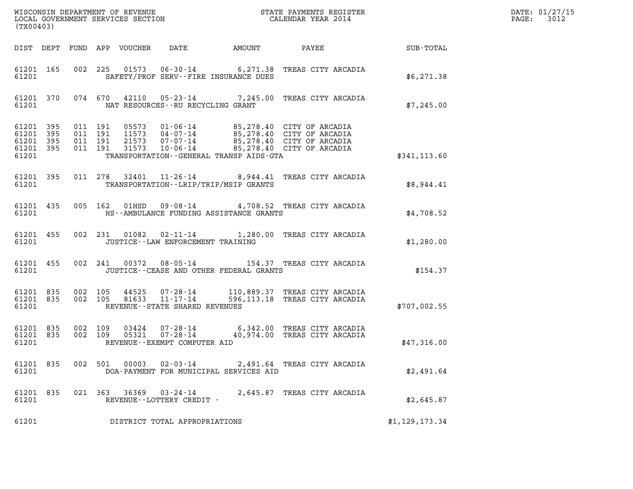| (TX00403)                              |                        |                              |                    |  |                                     |                                           |                                                                                                                                                                                          |                 | DATE: 01/27/15<br>$\mathtt{PAGE:}$<br>3012 |
|----------------------------------------|------------------------|------------------------------|--------------------|--|-------------------------------------|-------------------------------------------|------------------------------------------------------------------------------------------------------------------------------------------------------------------------------------------|-----------------|--------------------------------------------|
|                                        |                        |                              |                    |  |                                     | DIST DEPT FUND APP VOUCHER DATE AMOUNT    |                                                                                                                                                                                          | PAYEE SUB-TOTAL |                                            |
| 61201                                  | 61201 165              |                              |                    |  |                                     | SAFETY/PROF SERV--FIRE INSURANCE DUES     | 002 225 01573 06-30-14 6,271.38 TREAS CITY ARCADIA                                                                                                                                       | \$6,271.38      |                                            |
| 61201                                  |                        |                              |                    |  | NAT RESOURCES--RU RECYCLING GRANT   |                                           | 61201 370 074 670 42110 05-23-14 7,245.00 TREAS CITY ARCADIA                                                                                                                             | \$7,245.00      |                                            |
| 61201 395<br>61201 395<br>61201        | 61201 395              | 61201 395 011 191<br>011 191 | 011 191<br>011 191 |  |                                     | TRANSPORTATION--GENERAL TRANSP AIDS-GTA   | 05573  01-06-14  85,278.40  CITY OF ARCADIA<br>11573  04-07-14  85,278.40  CITY OF ARCADIA<br>21573  07-07-14  85,278.40  CITY OF ARCADIA<br>31573  10-06-14  85,278.40  CITY OF ARCADIA | \$341, 113.60   |                                            |
| 61201                                  | 61201 395              |                              |                    |  |                                     | TRANSPORTATION - - LRIP/TRIP/MSIP GRANTS  | 011 278 32401 11-26-14 8,944.41 TREAS CITY ARCADIA                                                                                                                                       | \$8,944.41      |                                            |
| 61201                                  |                        |                              |                    |  |                                     | HS--AMBULANCE FUNDING ASSISTANCE GRANTS   | 61201 435 005 162 01HSD 09-08-14 4,708.52 TREAS CITY ARCADIA                                                                                                                             | \$4,708.52      |                                            |
| 61201                                  | 61201 455              |                              |                    |  | JUSTICE -- LAW ENFORCEMENT TRAINING |                                           | 002 231 01082 02-11-14 1,280.00 TREAS CITY ARCADIA                                                                                                                                       | \$1,280.00      |                                            |
| 61201                                  | 61201 455              |                              |                    |  |                                     | JUSTICE -- CEASE AND OTHER FEDERAL GRANTS | 002 241 00372 08-05-14 154.37 TREAS CITY ARCADIA                                                                                                                                         | \$154.37        |                                            |
| 61201                                  | 61201 835<br>61201 835 |                              |                    |  | REVENUE--STATE SHARED REVENUES      |                                           | 002 105 44525 07-28-14 110,889.37 TREAS CITY ARCADIA<br>002 105 81633 11-17-14 596,113.18 TREAS CITY ARCADIA                                                                             | \$707,002.55    |                                            |
| 61201                                  | 61201 835              | 61201 835 002 109<br>002 109 |                    |  | REVENUE--EXEMPT COMPUTER AID        |                                           |                                                                                                                                                                                          | \$47,316.00     |                                            |
| 61201 835<br>61201                     |                        |                              | 002 501            |  | $00003$ $02 - 03 - 14$              | DOA-PAYMENT FOR MUNICIPAL SERVICES AID    | 2,491.64 TREAS CITY ARCADIA                                                                                                                                                              | \$2,491.64      |                                            |
| 61201 835<br>61201                     |                        |                              |                    |  | REVENUE--LOTTERY CREDIT -           |                                           | 021 363 36369 03-24-14 2,645.87 TREAS CITY ARCADIA                                                                                                                                       | \$2,645.87      |                                            |
| 61201<br>DISTRICT TOTAL APPROPRIATIONS |                        |                              |                    |  |                                     |                                           |                                                                                                                                                                                          | \$1,129,173.34  |                                            |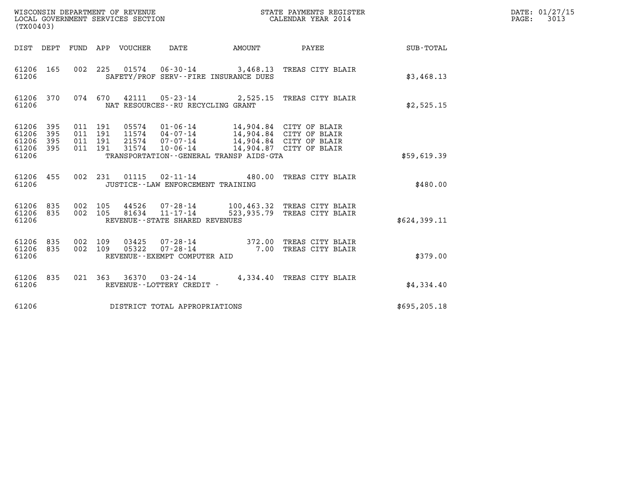| (TX00403)                                     |                   |                                          |         | WISCONSIN DEPARTMENT OF REVENUE<br>LOCAL GOVERNMENT SERVICES SECTION |                                                                                                           |        | STATE PAYMENTS REGISTER<br>CALENDAR YEAR 2014                                                            |               | DATE: 01/27/15<br>$\mathtt{PAGE:}$<br>3013 |
|-----------------------------------------------|-------------------|------------------------------------------|---------|----------------------------------------------------------------------|-----------------------------------------------------------------------------------------------------------|--------|----------------------------------------------------------------------------------------------------------|---------------|--------------------------------------------|
|                                               |                   |                                          |         | DIST DEPT FUND APP VOUCHER DATE                                      |                                                                                                           | AMOUNT | PAYEE                                                                                                    | SUB-TOTAL     |                                            |
| 61206 165<br>61206                            |                   |                                          | 002 225 |                                                                      | SAFETY/PROF SERV--FIRE INSURANCE DUES                                                                     |        | 01574    06-30-14    3,468.13    TREAS CITY BLAIR                                                        | \$3,468.13    |                                            |
| 61206 370<br>61206                            |                   |                                          | 074 670 |                                                                      | NAT RESOURCES - - RU RECYCLING GRANT                                                                      |        | 42111  05-23-14  2,525.15  TREAS CITY BLAIR                                                              | \$2,525.15    |                                            |
| 61206 395<br>61206<br>61206<br>61206<br>61206 | 395<br>395<br>395 | 011 191<br>011 191<br>011 191<br>011 191 |         | 05574<br>11574<br>21574<br>31574                                     | $01 - 06 - 14$<br>$04 - 07 - 14$<br>07-07-14<br>$10 - 06 - 14$<br>TRANSPORTATION--GENERAL TRANSP AIDS-GTA |        | 14,904.84 CITY OF BLAIR<br>14,904.84 CITY OF BLAIR<br>14,904.84 CITY OF BLAIR<br>14,904.87 CITY OF BLAIR | \$59,619.39   |                                            |
| 61206 455<br>61206                            |                   |                                          | 002 231 | 01115                                                                | $02 - 11 - 14$<br>JUSTICE - - LAW ENFORCEMENT TRAINING                                                    |        | 480.00 TREAS CITY BLAIR                                                                                  | \$480.00      |                                            |
| 61206 835<br>61206<br>61206                   | 835               | 002 105<br>002 105                       |         | 44526<br>81634                                                       | 07-28-14<br>$11 - 17 - 14$<br>REVENUE - - STATE SHARED REVENUES                                           |        | 100,463.32 TREAS CITY BLAIR<br>523,935.79 TREAS CITY BLAIR                                               | \$624,399.11  |                                            |
| 61206<br>61206<br>61206                       | 835<br>835        | 002 109<br>002 109                       |         | 03425<br>05322                                                       | 07 - 28 - 14<br>07 - 28 - 14<br>REVENUE--EXEMPT COMPUTER AID                                              |        | 372.00 TREAS CITY BLAIR<br>7.00 TREAS CITY BLAIR                                                         | \$379.00      |                                            |
| 61206 835<br>61206                            |                   |                                          |         |                                                                      | 021 363 36370 03-24-14<br>REVENUE--LOTTERY CREDIT -                                                       |        | 4,334.40 TREAS CITY BLAIR                                                                                | \$4,334.40    |                                            |
| 61206<br>DISTRICT TOTAL APPROPRIATIONS        |                   |                                          |         |                                                                      |                                                                                                           |        |                                                                                                          | \$695, 205.18 |                                            |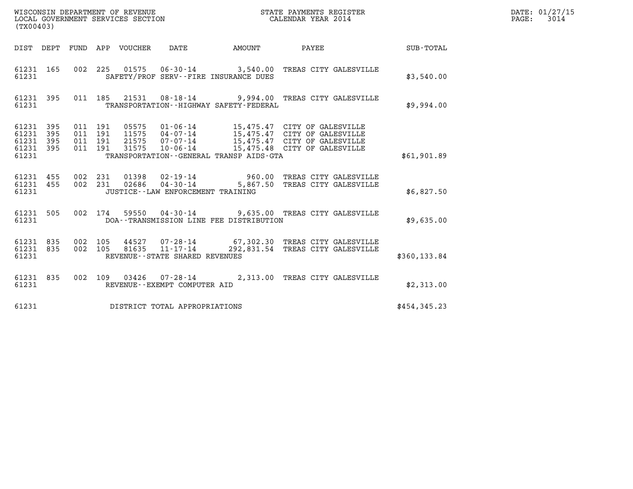| (TX00403)                                             |     |                                          |  |                                      |                                              | WISCONSIN DEPARTMENT OF REVENUE<br>LOCAL GOVERNMENT SERVICES SECTION<br>LOCAL GOVERNMENT SERVICES SECTION<br>CALENDAR YEAR 2014                                                                      |              | DATE: 01/27/15<br>PAGE: 3014 |
|-------------------------------------------------------|-----|------------------------------------------|--|--------------------------------------|----------------------------------------------|------------------------------------------------------------------------------------------------------------------------------------------------------------------------------------------------------|--------------|------------------------------|
|                                                       |     |                                          |  |                                      |                                              | DIST DEPT FUND APP VOUCHER DATE AMOUNT PAYEE SUB-TOTAL                                                                                                                                               |              |                              |
| 61231 165<br>61231                                    |     |                                          |  |                                      | SAFETY/PROF SERV--FIRE INSURANCE DUES        | 002 225 01575 06-30-14 3,540.00 TREAS CITY GALESVILLE                                                                                                                                                | \$3,540.00   |                              |
| 61231                                                 |     |                                          |  |                                      | TRANSPORTATION - - HIGHWAY SAFETY - FEDERAL  | 61231 395 011 185 21531 08-18-14 9,994.00 TREAS CITY GALESVILLE                                                                                                                                      | \$9,994.00   |                              |
| 61231 395<br>61231<br>61231 395<br>61231 395<br>61231 | 395 | 011 191<br>011 191<br>011 191<br>011 191 |  |                                      | TRANSPORTATION - - GENERAL TRANSP AIDS - GTA | 05575  01-06-14  15,475.47  CITY OF GALESVILLE<br>11575  04-07-14  15,475.47  CITY OF GALESVILLE<br>21575  07-07-14  15,475.47  CITY OF GALESVILLE<br>31575  10-06-14  15,475.48  CITY OF GALESVILLE | \$61,901.89  |                              |
| 61231 455 002 231<br>61231 455<br>61231               |     |                                          |  | JUSTICE - - LAW ENFORCEMENT TRAINING |                                              | 002 231 01398 02-19-14 960.00 TREAS CITY GALESVILLE<br>002 231 02686 04-30-14 5,867.50 TREAS CITY GALESVILLE                                                                                         | \$6,827.50   |                              |
| 61231                                                 |     |                                          |  |                                      | DOA--TRANSMISSION LINE FEE DISTRIBUTION      | 61231 505 002 174 59550 04-30-14 9,635.00 TREAS CITY GALESVILLE                                                                                                                                      | \$9,635.00   |                              |
| 61231 835 002 105<br>61231 835<br>61231               |     | 002 105                                  |  | REVENUE--STATE SHARED REVENUES       |                                              |                                                                                                                                                                                                      | \$360,133.84 |                              |
| 61231 835<br>61231                                    |     |                                          |  | REVENUE--EXEMPT COMPUTER AID         |                                              | 002 109 03426 07-28-14 2,313.00 TREAS CITY GALESVILLE                                                                                                                                                | \$2,313.00   |                              |
| 61231                                                 |     |                                          |  | DISTRICT TOTAL APPROPRIATIONS        |                                              |                                                                                                                                                                                                      | \$454,345.23 |                              |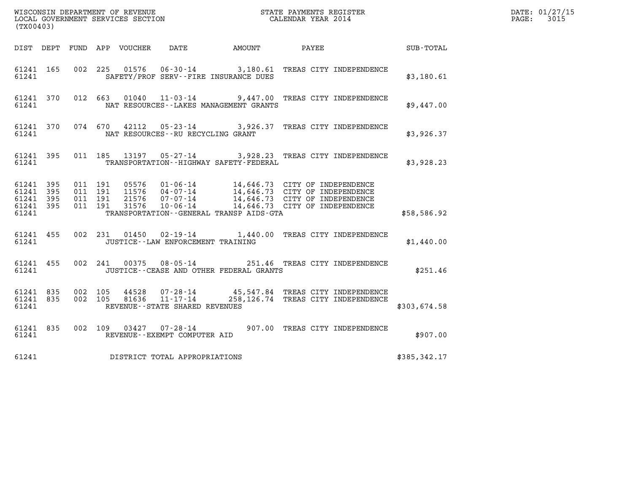| (TX00403)                                                 |  |                                          |  |                |                                      |                                              |                                                                                                                                                                                                              |              | DATE: 01/27/15<br>$\mathtt{PAGE:}$<br>3015 |
|-----------------------------------------------------------|--|------------------------------------------|--|----------------|--------------------------------------|----------------------------------------------|--------------------------------------------------------------------------------------------------------------------------------------------------------------------------------------------------------------|--------------|--------------------------------------------|
|                                                           |  |                                          |  |                |                                      | DIST DEPT FUND APP VOUCHER DATE AMOUNT PAYEE |                                                                                                                                                                                                              | SUB - TOTAL  |                                            |
| 61241 165<br>61241                                        |  |                                          |  |                |                                      | SAFETY/PROF SERV--FIRE INSURANCE DUES        | 002 225 01576 06-30-14 3,180.61 TREAS CITY INDEPENDENCE                                                                                                                                                      | \$3,180.61   |                                            |
| 61241                                                     |  |                                          |  |                |                                      | NAT RESOURCES - - LAKES MANAGEMENT GRANTS    | 61241 370 012 663 01040 11-03-14 9,447.00 TREAS CITY INDEPENDENCE                                                                                                                                            | \$9,447.00   |                                            |
| 61241 370<br>61241                                        |  |                                          |  |                | NAT RESOURCES - - RU RECYCLING GRANT |                                              | 074 670 42112 05-23-14 3,926.37 TREAS CITY INDEPENDENCE                                                                                                                                                      | \$3,926.37   |                                            |
| 61241 395<br>61241                                        |  |                                          |  |                |                                      | TRANSPORTATION - - HIGHWAY SAFETY - FEDERAL  | 011 185 13197 05-27-14 3,928.23 TREAS CITY INDEPENDENCE                                                                                                                                                      | \$3,928.23   |                                            |
| 61241 395<br>61241 395<br>61241 395<br>61241 395<br>61241 |  | 011 191<br>011 191<br>011 191<br>011 191 |  |                |                                      | TRANSPORTATION - - GENERAL TRANSP AIDS - GTA | 05576  01-06-14  14,646.73  CITY OF INDEPENDENCE<br>11576  04-07-14  14,646.73  CITY OF INDEPENDENCE<br>21576  07-07-14  14,646.73  CITY OF INDEPENDENCE<br>31576  10-06-14  14,646.73  CITY OF INDEPENDENCE | \$58,586.92  |                                            |
| 61241 455<br>61241                                        |  |                                          |  |                | JUSTICE - - LAW ENFORCEMENT TRAINING |                                              | 002 231 01450 02-19-14 1,440.00 TREAS CITY INDEPENDENCE                                                                                                                                                      | \$1,440.00   |                                            |
| 61241 455<br>61241                                        |  |                                          |  |                |                                      | JUSTICE -- CEASE AND OTHER FEDERAL GRANTS    | 002 241 00375 08-05-14 251.46 TREAS CITY INDEPENDENCE                                                                                                                                                        | \$251.46     |                                            |
| 61241 835<br>61241 835<br>61241                           |  | 002 105<br>002 105                       |  | 44528<br>81636 | REVENUE - - STATE SHARED REVENUES    |                                              | 07-28-14   45,547.84 TREAS CITY INDEPENDENCE<br>11-17-14   258,126.74 TREAS CITY INDEPENDENCE                                                                                                                | \$303,674.58 |                                            |
| 61241 835<br>61241                                        |  |                                          |  |                | REVENUE--EXEMPT COMPUTER AID         |                                              | 002 109 03427 07-28-14 907.00 TREAS CITY INDEPENDENCE                                                                                                                                                        | \$907.00     |                                            |
| 61241                                                     |  |                                          |  |                | DISTRICT TOTAL APPROPRIATIONS        |                                              |                                                                                                                                                                                                              | \$385,342.17 |                                            |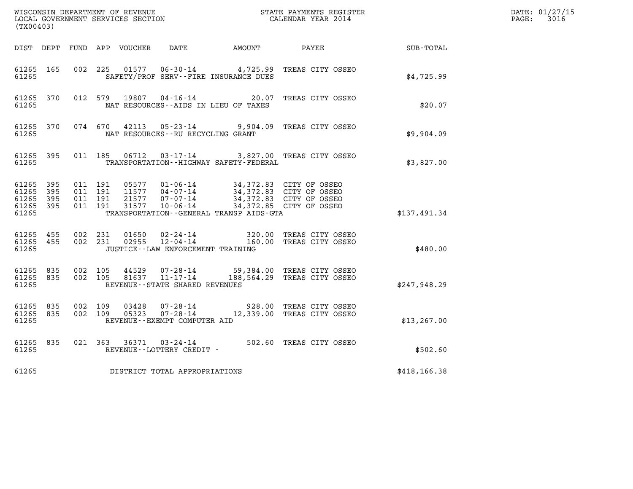| (TX00403)                                             |           |                                          |  |                |                                                              |                                                                                           |                                                                                      |                  | DATE: 01/27/15<br>$\mathtt{PAGE:}$<br>3016 |
|-------------------------------------------------------|-----------|------------------------------------------|--|----------------|--------------------------------------------------------------|-------------------------------------------------------------------------------------------|--------------------------------------------------------------------------------------|------------------|--------------------------------------------|
|                                                       |           |                                          |  |                |                                                              | DIST DEPT FUND APP VOUCHER DATE AMOUNT PAYEE                                              |                                                                                      | <b>SUB-TOTAL</b> |                                            |
| 61265 165<br>61265                                    |           | 002 225                                  |  |                |                                                              | SAFETY/PROF SERV--FIRE INSURANCE DUES                                                     | 01577  06-30-14  4,725.99  TREAS CITY OSSEO                                          | \$4,725.99       |                                            |
| 61265 370<br>61265                                    |           |                                          |  |                |                                                              | NAT RESOURCES--AIDS IN LIEU OF TAXES                                                      | 012 579 19807 04-16-14 20.07 TREAS CITY OSSEO                                        | \$20.07          |                                            |
| 61265 370<br>61265                                    |           |                                          |  |                | NAT RESOURCES--RU RECYCLING GRANT                            |                                                                                           | 074 670 42113 05-23-14 9,904.09 TREAS CITY OSSEO                                     | \$9,904.09       |                                            |
| 61265                                                 | 61265 395 |                                          |  |                |                                                              | TRANSPORTATION - - HIGHWAY SAFETY - FEDERAL                                               | 011 185  06712  03-17-14  3,827.00 TREAS CITY OSSEO                                  | \$3,827.00       |                                            |
| 61265 395<br>61265 395<br>61265<br>61265 395<br>61265 | - 395     | 011 191<br>011 191<br>011 191<br>011 191 |  | 21577<br>31577 | $11577$ 04-07-14<br>07-07-14<br>$10 - 06 - 14$               | 05577  01-06-14  34,372.83  CITY OF OSSEO<br>TRANSPORTATION - - GENERAL TRANSP AIDS - GTA | 34,372.83 CITY OF OSSEO<br>34,372.83 CITY OF OSSEO<br>34,372.85 CITY OF OSSEO        | \$137,491.34     |                                            |
| 61265 455<br>61265                                    |           | 61265 455 002 231<br>002 231             |  |                | JUSTICE - - LAW ENFORCEMENT TRAINING                         |                                                                                           | 01650  02-24-14  320.00 TREAS CITY OSSEO<br>02955  12-04-14  160.00 TREAS CITY OSSEO | \$480.00         |                                            |
| 61265 835<br>61265 835<br>61265                       |           | 002 105<br>002 105                       |  | 44529          | 07-28-14<br>81637 11-17-14<br>REVENUE--STATE SHARED REVENUES |                                                                                           | 59,384.00 TREAS CITY OSSEO<br>188,564.29 TREAS CITY OSSEO                            | \$247,948.29     |                                            |
| 61265 835<br>61265 835<br>61265                       |           | 002 109<br>002 109                       |  | 03428<br>05323 | REVENUE--EXEMPT COMPUTER AID                                 |                                                                                           | 07-28-14 928.00 TREAS CITY OSSEO<br>07-28-14 12,339.00 TREAS CITY OSSEO              | \$13, 267.00     |                                            |
| 61265 835<br>61265                                    |           |                                          |  |                | REVENUE--LOTTERY CREDIT -                                    |                                                                                           | 021 363 36371 03-24-14 502.60 TREAS CITY OSSEO                                       | \$502.60         |                                            |
| 61265                                                 |           |                                          |  |                | DISTRICT TOTAL APPROPRIATIONS                                |                                                                                           |                                                                                      | \$418, 166.38    |                                            |